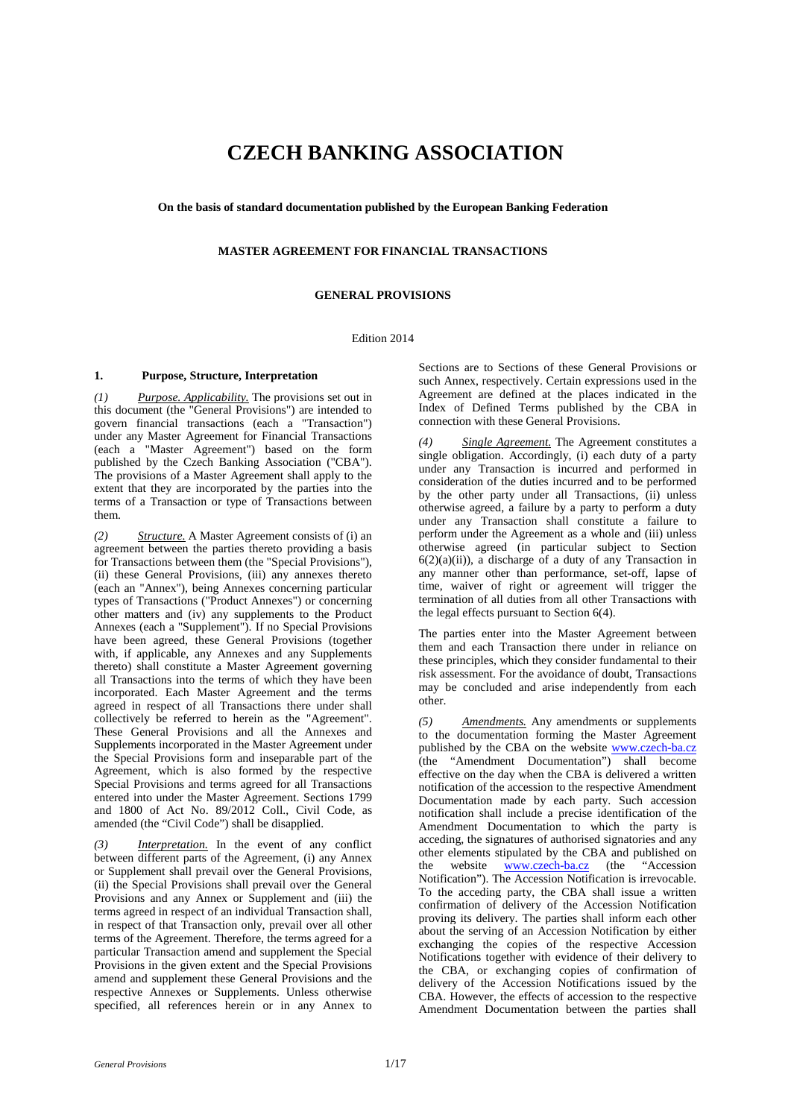# **CZECH BANKING ASSOCIATION**

**On the basis of standard documentation published by the European Banking Federation** 

# **MASTER AGREEMENT FOR FINANCIAL TRANSACTIONS**

## **GENERAL PROVISIONS**

#### Edition 2014

#### **1. Purpose, Structure, Interpretation**

*(1) Purpose. Applicability.* The provisions set out in this document (the "General Provisions") are intended to govern financial transactions (each a "Transaction") under any Master Agreement for Financial Transactions (each a "Master Agreement") based on the form published by the Czech Banking Association ("CBA"). The provisions of a Master Agreement shall apply to the extent that they are incorporated by the parties into the terms of a Transaction or type of Transactions between them.

*(2) Structure.* A Master Agreement consists of (i) an agreement between the parties thereto providing a basis for Transactions between them (the "Special Provisions"), (ii) these General Provisions, (iii) any annexes thereto (each an "Annex"), being Annexes concerning particular types of Transactions ("Product Annexes") or concerning other matters and (iv) any supplements to the Product Annexes (each a "Supplement"). If no Special Provisions have been agreed, these General Provisions (together with, if applicable, any Annexes and any Supplements thereto) shall constitute a Master Agreement governing all Transactions into the terms of which they have been incorporated. Each Master Agreement and the terms agreed in respect of all Transactions there under shall collectively be referred to herein as the "Agreement". These General Provisions and all the Annexes and Supplements incorporated in the Master Agreement under the Special Provisions form and inseparable part of the Agreement, which is also formed by the respective Special Provisions and terms agreed for all Transactions entered into under the Master Agreement. Sections 1799 and 1800 of Act No. 89/2012 Coll., Civil Code, as amended (the "Civil Code") shall be disapplied.

*(3) Interpretation.* In the event of any conflict between different parts of the Agreement, (i) any Annex or Supplement shall prevail over the General Provisions, (ii) the Special Provisions shall prevail over the General Provisions and any Annex or Supplement and (iii) the terms agreed in respect of an individual Transaction shall, in respect of that Transaction only, prevail over all other terms of the Agreement. Therefore, the terms agreed for a particular Transaction amend and supplement the Special Provisions in the given extent and the Special Provisions amend and supplement these General Provisions and the respective Annexes or Supplements. Unless otherwise specified, all references herein or in any Annex to Sections are to Sections of these General Provisions or such Annex, respectively. Certain expressions used in the Agreement are defined at the places indicated in the Index of Defined Terms published by the CBA in connection with these General Provisions.

*<u>Single Agreement</u>*. The Agreement constitutes a single obligation. Accordingly, (i) each duty of a party under any Transaction is incurred and performed in consideration of the duties incurred and to be performed by the other party under all Transactions, (ii) unless otherwise agreed, a failure by a party to perform a duty under any Transaction shall constitute a failure to perform under the Agreement as a whole and (iii) unless otherwise agreed (in particular subject to Section  $6(2)(a)(ii)$ , a discharge of a duty of any Transaction in any manner other than performance, set-off, lapse of time, waiver of right or agreement will trigger the termination of all duties from all other Transactions with the legal effects pursuant to Section 6(4).

The parties enter into the Master Agreement between them and each Transaction there under in reliance on these principles, which they consider fundamental to their risk assessment. For the avoidance of doubt, Transactions may be concluded and arise independently from each other.

*(5) Amendments.* Any amendments or supplements to the documentation forming the Master Agreement published by the CBA on the website [www.czech-ba.cz](http://www.czech-ba.cz/) (the "Amendment Documentation") shall become effective on the day when the CBA is delivered a written notification of the accession to the respective Amendment Documentation made by each party. Such accession notification shall include a precise identification of the Amendment Documentation to which the party is acceding, the signatures of authorised signatories and any other elements stipulated by the CBA and published on<br>the website www.czech-ba.cz (the "Accession  $www.czech-ba.cz$  (the Notification"). The Accession Notification is irrevocable. To the acceding party, the CBA shall issue a written confirmation of delivery of the Accession Notification proving its delivery. The parties shall inform each other about the serving of an Accession Notification by either exchanging the copies of the respective Accession Notifications together with evidence of their delivery to the CBA, or exchanging copies of confirmation of delivery of the Accession Notifications issued by the CBA. However, the effects of accession to the respective Amendment Documentation between the parties shall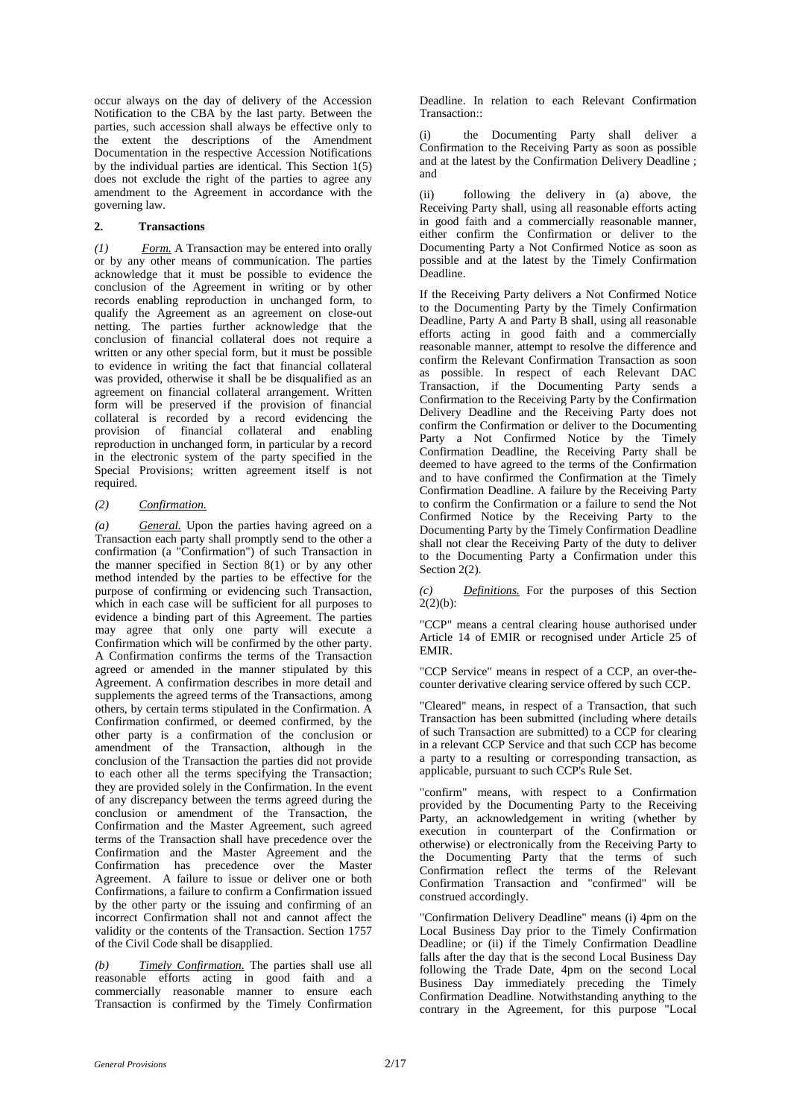occur always on the day of delivery of the Accession Notification to the CBA by the last party. Between the parties, such accession shall always be effective only to the extent the descriptions of the Amendment Documentation in the respective Accession Notifications by the individual parties are identical. This Section 1(5) does not exclude the right of the parties to agree any amendment to the Agreement in accordance with the governing law.

## **2. Transactions**

*(1) Form.* A Transaction may be entered into orally or by any other means of communication. The parties acknowledge that it must be possible to evidence the conclusion of the Agreement in writing or by other records enabling reproduction in unchanged form, to qualify the Agreement as an agreement on close-out netting. The parties further acknowledge that the conclusion of financial collateral does not require a written or any other special form, but it must be possible to evidence in writing the fact that financial collateral was provided, otherwise it shall be be disqualified as an agreement on financial collateral arrangement. Written form will be preserved if the provision of financial collateral is recorded by a record evidencing the provision of financial collateral and enabling reproduction in unchanged form, in particular by a record in the electronic system of the party specified in the Special Provisions; written agreement itself is not required.

#### *(2) Confirmation.*

*(a) General.* Upon the parties having agreed on a Transaction each party shall promptly send to the other a confirmation (a "Confirmation") of such Transaction in the manner specified in Section 8(1) or by any other method intended by the parties to be effective for the purpose of confirming or evidencing such Transaction, which in each case will be sufficient for all purposes to evidence a binding part of this Agreement. The parties may agree that only one party will execute a Confirmation which will be confirmed by the other party. A Confirmation confirms the terms of the Transaction agreed or amended in the manner stipulated by this Agreement. A confirmation describes in more detail and supplements the agreed terms of the Transactions, among others, by certain terms stipulated in the Confirmation. A Confirmation confirmed, or deemed confirmed, by the other party is a confirmation of the conclusion or amendment of the Transaction, although in the conclusion of the Transaction the parties did not provide to each other all the terms specifying the Transaction; they are provided solely in the Confirmation. In the event of any discrepancy between the terms agreed during the conclusion or amendment of the Transaction, the Confirmation and the Master Agreement, such agreed terms of the Transaction shall have precedence over the Confirmation and the Master Agreement and the Confirmation has precedence over the Master Agreement. A failure to issue or deliver one or both Confirmations, a failure to confirm a Confirmation issued by the other party or the issuing and confirming of an incorrect Confirmation shall not and cannot affect the validity or the contents of the Transaction. Section 1757 of the Civil Code shall be disapplied.

*(b) Timely Confirmation.* The parties shall use all reasonable efforts acting in good faith and a commercially reasonable manner to ensure each Transaction is confirmed by the Timely Confirmation Deadline. In relation to each Relevant Confirmation Transaction::

(i) the Documenting Party shall deliver a Confirmation to the Receiving Party as soon as possible and at the latest by the Confirmation Delivery Deadline ; and

(ii) following the delivery in (a) above, the Receiving Party shall, using all reasonable efforts acting in good faith and a commercially reasonable manner, either confirm the Confirmation or deliver to the Documenting Party a Not Confirmed Notice as soon as possible and at the latest by the Timely Confirmation Deadline.

If the Receiving Party delivers a Not Confirmed Notice to the Documenting Party by the Timely Confirmation Deadline, Party A and Party B shall, using all reasonable efforts acting in good faith and a commercially reasonable manner, attempt to resolve the difference and confirm the Relevant Confirmation Transaction as soon as possible. In respect of each Relevant DAC Transaction, if the Documenting Party sends a Confirmation to the Receiving Party by the Confirmation Delivery Deadline and the Receiving Party does not confirm the Confirmation or deliver to the Documenting Party a Not Confirmed Notice by the Timely Confirmation Deadline, the Receiving Party shall be deemed to have agreed to the terms of the Confirmation and to have confirmed the Confirmation at the Timely Confirmation Deadline. A failure by the Receiving Party to confirm the Confirmation or a failure to send the Not Confirmed Notice by the Receiving Party to the Documenting Party by the Timely Confirmation Deadline shall not clear the Receiving Party of the duty to deliver to the Documenting Party a Confirmation under this Section 2(2).

*(c) Definitions.* For the purposes of this Section  $2(2)(b)$ :

"CCP" means a central clearing house authorised under Article 14 of EMIR or recognised under Article 25 of EMIR.

"CCP Service" means in respect of a CCP, an over-thecounter derivative clearing service offered by such CCP.

"Cleared" means, in respect of a Transaction, that such Transaction has been submitted (including where details of such Transaction are submitted) to a CCP for clearing in a relevant CCP Service and that such CCP has become a party to a resulting or corresponding transaction, as applicable, pursuant to such CCP's Rule Set.

"confirm" means, with respect to a Confirmation provided by the Documenting Party to the Receiving Party, an acknowledgement in writing (whether by execution in counterpart of the Confirmation or otherwise) or electronically from the Receiving Party to the Documenting Party that the terms of such Confirmation reflect the terms of the Relevant Confirmation Transaction and "confirmed" will be construed accordingly.

"Confirmation Delivery Deadline" means (i) 4pm on the Local Business Day prior to the Timely Confirmation Deadline; or (ii) if the Timely Confirmation Deadline falls after the day that is the second Local Business Day following the Trade Date, 4pm on the second Local Business Day immediately preceding the Timely Confirmation Deadline. Notwithstanding anything to the contrary in the Agreement, for this purpose "Local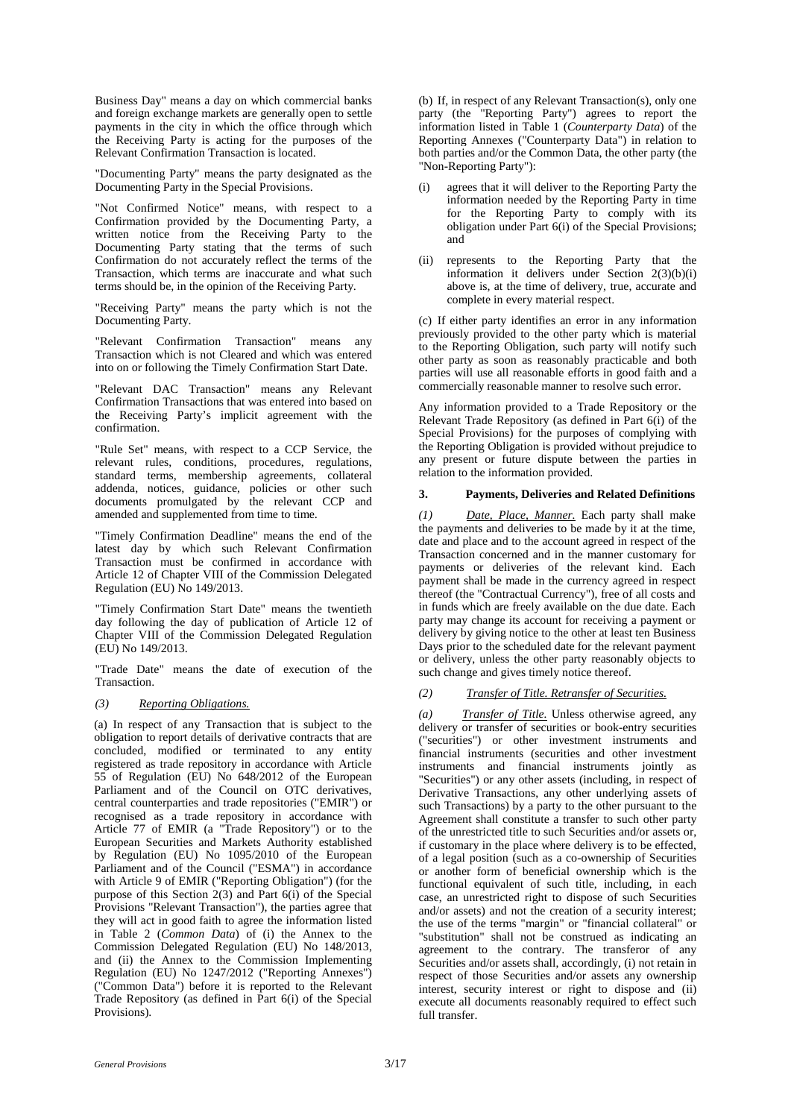Business Day" means a day on which commercial banks and foreign exchange markets are generally open to settle payments in the city in which the office through which the Receiving Party is acting for the purposes of the Relevant Confirmation Transaction is located.

"Documenting Party" means the party designated as the Documenting Party in the Special Provisions.

"Not Confirmed Notice" means, with respect to a Confirmation provided by the Documenting Party, a written notice from the Receiving Party to the Documenting Party stating that the terms of such Confirmation do not accurately reflect the terms of the Transaction, which terms are inaccurate and what such terms should be, in the opinion of the Receiving Party.

"Receiving Party" means the party which is not the Documenting Party.

"Relevant Confirmation Transaction" means any Transaction which is not Cleared and which was entered into on or following the Timely Confirmation Start Date.

"Relevant DAC Transaction" means any Relevant Confirmation Transactions that was entered into based on the Receiving Party's implicit agreement with the confirmation.

"Rule Set" means, with respect to a CCP Service, the relevant rules, conditions, procedures, regulations, standard terms, membership agreements, collateral addenda, notices, guidance, policies or other such documents promulgated by the relevant CCP and amended and supplemented from time to time.

"Timely Confirmation Deadline" means the end of the latest day by which such Relevant Confirmation Transaction must be confirmed in accordance with Article 12 of Chapter VIII of the Commission Delegated Regulation (EU) No 149/2013.

"Timely Confirmation Start Date" means the twentieth day following the day of publication of Article 12 of Chapter VIII of the Commission Delegated Regulation (EU) No 149/2013.

"Trade Date" means the date of execution of the Transaction.

## *(3) Reporting Obligations.*

(a) In respect of any Transaction that is subject to the obligation to report details of derivative contracts that are concluded, modified or terminated to any entity registered as trade repository in accordance with Article 55 of Regulation (EU) No 648/2012 of the European Parliament and of the Council on OTC derivatives, central counterparties and trade repositories ("EMIR") or recognised as a trade repository in accordance with Article 77 of EMIR (a "Trade Repository") or to the European Securities and Markets Authority established by Regulation (EU) No 1095/2010 of the European Parliament and of the Council ("ESMA") in accordance with Article 9 of EMIR ("Reporting Obligation") (for the purpose of this Section 2(3) and Part 6(i) of the Special Provisions "Relevant Transaction"), the parties agree that they will act in good faith to agree the information listed in Table 2 (*Common Data*) of (i) the Annex to the Commission Delegated Regulation (EU) No 148/2013, and (ii) the Annex to the Commission Implementing Regulation (EU) No 1247/2012 ("Reporting Annexes") ("Common Data") before it is reported to the Relevant Trade Repository (as defined in Part 6(i) of the Special Provisions).

(b) If, in respect of any Relevant Transaction(s), only one party (the "Reporting Party") agrees to report the information listed in Table 1 (*Counterparty Data*) of the Reporting Annexes ("Counterparty Data") in relation to both parties and/or the Common Data, the other party (the "Non-Reporting Party"):

- (i) agrees that it will deliver to the Reporting Party the information needed by the Reporting Party in time for the Reporting Party to comply with its obligation under Part 6(i) of the Special Provisions; and
- (ii) represents to the Reporting Party that the information it delivers under Section 2(3)(b)(i) above is, at the time of delivery, true, accurate and complete in every material respect.

(c) If either party identifies an error in any information previously provided to the other party which is material to the Reporting Obligation, such party will notify such other party as soon as reasonably practicable and both parties will use all reasonable efforts in good faith and a commercially reasonable manner to resolve such error.

Any information provided to a Trade Repository or the Relevant Trade Repository (as defined in Part 6(i) of the Special Provisions) for the purposes of complying with the Reporting Obligation is provided without prejudice to any present or future dispute between the parties in relation to the information provided.

#### **3. Payments, Deliveries and Related Definitions**

*(1) Date, Place, Manner.* Each party shall make the payments and deliveries to be made by it at the time, date and place and to the account agreed in respect of the Transaction concerned and in the manner customary for payments or deliveries of the relevant kind. Each payment shall be made in the currency agreed in respect thereof (the "Contractual Currency"), free of all costs and in funds which are freely available on the due date. Each party may change its account for receiving a payment or delivery by giving notice to the other at least ten Business Days prior to the scheduled date for the relevant payment or delivery, unless the other party reasonably objects to such change and gives timely notice thereof.

## *(2) Transfer of Title. Retransfer of Securities.*

*(a) Transfer of Title.* Unless otherwise agreed, any delivery or transfer of securities or book-entry securities ("securities") or other investment instruments and financial instruments (securities and other investment instruments and financial instruments jointly as "Securities") or any other assets (including, in respect of Derivative Transactions, any other underlying assets of such Transactions) by a party to the other pursuant to the Agreement shall constitute a transfer to such other party of the unrestricted title to such Securities and/or assets or, if customary in the place where delivery is to be effected, of a legal position (such as a co-ownership of Securities or another form of beneficial ownership which is the functional equivalent of such title, including, in each case, an unrestricted right to dispose of such Securities and/or assets) and not the creation of a security interest; the use of the terms "margin" or "financial collateral" or "substitution" shall not be construed as indicating an agreement to the contrary. The transferor of any Securities and/or assets shall, accordingly, (i) not retain in respect of those Securities and/or assets any ownership interest, security interest or right to dispose and (ii) execute all documents reasonably required to effect such full transfer.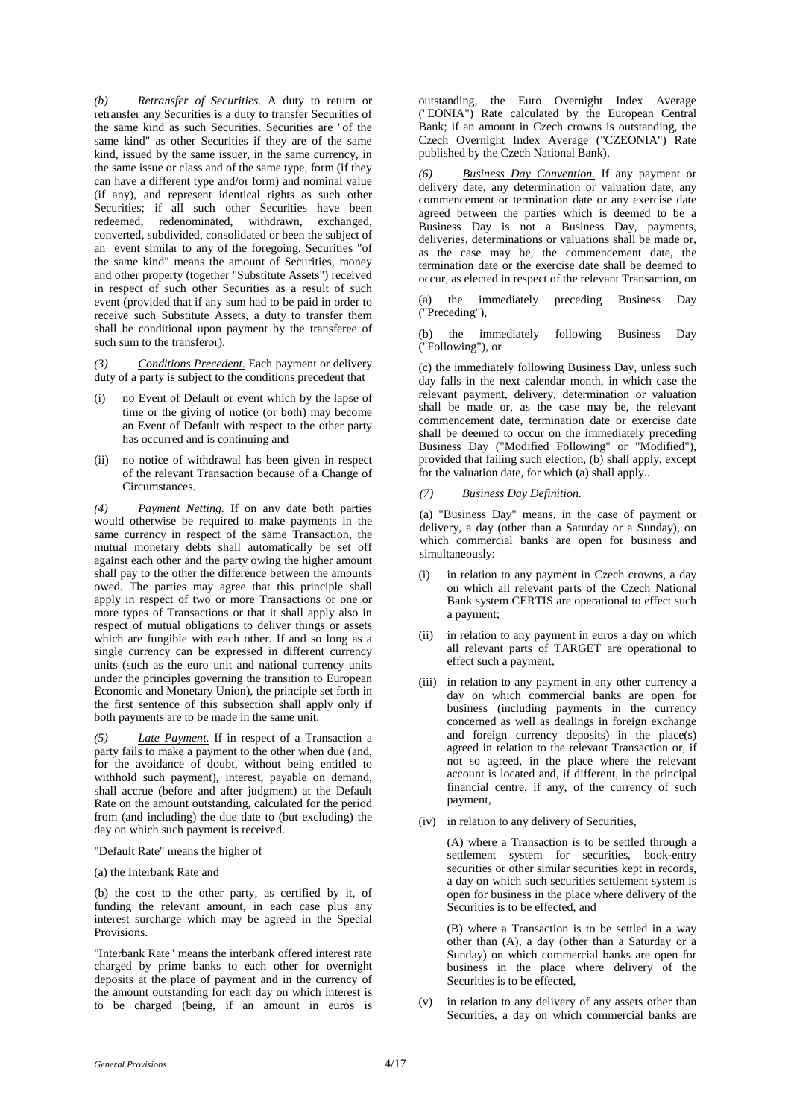*(b) Retransfer of Securities.* A duty to return or retransfer any Securities is a duty to transfer Securities of the same kind as such Securities. Securities are "of the same kind" as other Securities if they are of the same kind, issued by the same issuer, in the same currency, in the same issue or class and of the same type, form (if they can have a different type and/or form) and nominal value (if any), and represent identical rights as such other Securities; if all such other Securities have been redeemed, redenominated, withdrawn, exchanged, converted, subdivided, consolidated or been the subject of an event similar to any of the foregoing, Securities "of the same kind" means the amount of Securities, money and other property (together "Substitute Assets") received in respect of such other Securities as a result of such event (provided that if any sum had to be paid in order to receive such Substitute Assets, a duty to transfer them shall be conditional upon payment by the transferee of such sum to the transferor).

*(3) Conditions Precedent.* Each payment or delivery duty of a party is subject to the conditions precedent that

- (i) no Event of Default or event which by the lapse of time or the giving of notice (or both) may become an Event of Default with respect to the other party has occurred and is continuing and
- (ii) no notice of withdrawal has been given in respect of the relevant Transaction because of a Change of Circumstances.

*(4) Payment Netting.* If on any date both parties would otherwise be required to make payments in the same currency in respect of the same Transaction, the mutual monetary debts shall automatically be set off against each other and the party owing the higher amount shall pay to the other the difference between the amounts owed. The parties may agree that this principle shall apply in respect of two or more Transactions or one or more types of Transactions or that it shall apply also in respect of mutual obligations to deliver things or assets which are fungible with each other. If and so long as a single currency can be expressed in different currency units (such as the euro unit and national currency units under the principles governing the transition to European Economic and Monetary Union), the principle set forth in the first sentence of this subsection shall apply only if both payments are to be made in the same unit.

*(5) Late Payment.* If in respect of a Transaction a party fails to make a payment to the other when due (and, for the avoidance of doubt, without being entitled to withhold such payment), interest, payable on demand, shall accrue (before and after judgment) at the Default Rate on the amount outstanding, calculated for the period from (and including) the due date to (but excluding) the day on which such payment is received.

- "Default Rate" means the higher of
- (a) the Interbank Rate and

(b) the cost to the other party, as certified by it, of funding the relevant amount, in each case plus any interest surcharge which may be agreed in the Special **Provisions** 

"Interbank Rate" means the interbank offered interest rate charged by prime banks to each other for overnight deposits at the place of payment and in the currency of the amount outstanding for each day on which interest is to be charged (being, if an amount in euros is

outstanding, the Euro Overnight Index Average ("EONIA") Rate calculated by the European Central Bank; if an amount in Czech crowns is outstanding, the Czech Overnight Index Average ("CZEONIA") Rate published by the Czech National Bank).

*Business Day Convention*. If any payment or delivery date, any determination or valuation date, any commencement or termination date or any exercise date agreed between the parties which is deemed to be a Business Day is not a Business Day, payments, deliveries, determinations or valuations shall be made or, as the case may be, the commencement date, the termination date or the exercise date shall be deemed to occur, as elected in respect of the relevant Transaction, on

(a) the immediately preceding Business Day ("Preceding"),

(b) the immediately following Business Day ("Following"), or

(c) the immediately following Business Day, unless such day falls in the next calendar month, in which case the relevant payment, delivery, determination or valuation shall be made or, as the case may be, the relevant commencement date, termination date or exercise date shall be deemed to occur on the immediately preceding Business Day ("Modified Following" or "Modified"), provided that failing such election, (b) shall apply, except for the valuation date, for which (a) shall apply..

*(Business Day Definition.* 

(a) "Business Day" means, in the case of payment or delivery, a day (other than a Saturday or a Sunday), on which commercial banks are open for business and simultaneously:

- (i) in relation to any payment in Czech crowns, a day on which all relevant parts of the Czech National Bank system CERTIS are operational to effect such a payment;
- (ii) in relation to any payment in euros a day on which all relevant parts of TARGET are operational to effect such a payment,
- (iii) in relation to any payment in any other currency a day on which commercial banks are open for business (including payments in the currency concerned as well as dealings in foreign exchange and foreign currency deposits) in the place(s) agreed in relation to the relevant Transaction or, if not so agreed, in the place where the relevant account is located and, if different, in the principal financial centre, if any, of the currency of such payment,
- (iv) in relation to any delivery of Securities,

(A) where a Transaction is to be settled through a settlement system for securities, book-entry securities or other similar securities kept in records, a day on which such securities settlement system is open for business in the place where delivery of the Securities is to be effected, and

(B) where a Transaction is to be settled in a way other than (A), a day (other than a Saturday or a Sunday) on which commercial banks are open for business in the place where delivery of the Securities is to be effected,

(v) in relation to any delivery of any assets other than Securities, a day on which commercial banks are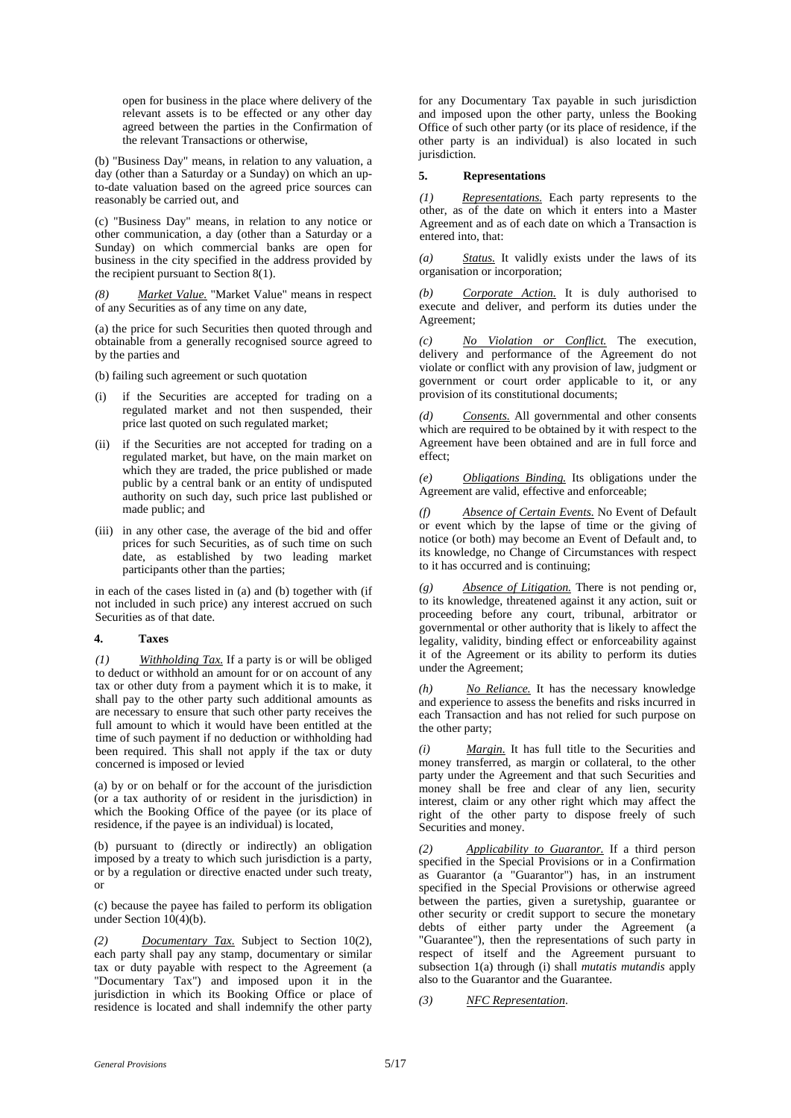open for business in the place where delivery of the relevant assets is to be effected or any other day agreed between the parties in the Confirmation of the relevant Transactions or otherwise,

(b) "Business Day" means, in relation to any valuation, a day (other than a Saturday or a Sunday) on which an upto-date valuation based on the agreed price sources can reasonably be carried out, and

(c) "Business Day" means, in relation to any notice or other communication, a day (other than a Saturday or a Sunday) on which commercial banks are open for business in the city specified in the address provided by the recipient pursuant to Section 8(1).

*(8) Market Value.* "Market Value" means in respect of any Securities as of any time on any date,

(a) the price for such Securities then quoted through and obtainable from a generally recognised source agreed to by the parties and

(b) failing such agreement or such quotation

- (i) if the Securities are accepted for trading on a regulated market and not then suspended, their price last quoted on such regulated market;
- (ii) if the Securities are not accepted for trading on a regulated market, but have, on the main market on which they are traded, the price published or made public by a central bank or an entity of undisputed authority on such day, such price last published or made public; and
- (iii) in any other case, the average of the bid and offer prices for such Securities, as of such time on such date, as established by two leading market participants other than the parties;

in each of the cases listed in (a) and (b) together with (if not included in such price) any interest accrued on such Securities as of that date.

## **4. Taxes**

*(1) Withholding Tax.* If a party is or will be obliged to deduct or withhold an amount for or on account of any tax or other duty from a payment which it is to make, it shall pay to the other party such additional amounts as are necessary to ensure that such other party receives the full amount to which it would have been entitled at the time of such payment if no deduction or withholding had been required. This shall not apply if the tax or duty concerned is imposed or levied

(a) by or on behalf or for the account of the jurisdiction (or a tax authority of or resident in the jurisdiction) in which the Booking Office of the payee (or its place of residence, if the payee is an individual) is located,

(b) pursuant to (directly or indirectly) an obligation imposed by a treaty to which such jurisdiction is a party, or by a regulation or directive enacted under such treaty, or

(c) because the payee has failed to perform its obligation under Section 10(4)(b).

*(2) Documentary Tax.* Subject to Section 10(2), each party shall pay any stamp, documentary or similar tax or duty payable with respect to the Agreement (a "Documentary Tax") and imposed upon it in the jurisdiction in which its Booking Office or place of residence is located and shall indemnify the other party

for any Documentary Tax payable in such jurisdiction and imposed upon the other party, unless the Booking Office of such other party (or its place of residence, if the other party is an individual) is also located in such jurisdiction.

## **5. Representations**

*(1) Representations.* Each party represents to the other, as of the date on which it enters into a Master Agreement and as of each date on which a Transaction is entered into, that:

*(a) Status.* It validly exists under the laws of its organisation or incorporation;

*(b) Corporate Action.* It is duly authorised to execute and deliver, and perform its duties under the Agreement;

*(c) No Violation or Conflict.* The execution, delivery and performance of the Agreement do not violate or conflict with any provision of law, judgment or government or court order applicable to it, or any provision of its constitutional documents;

**Consents.** All governmental and other consents which are required to be obtained by it with respect to the Agreement have been obtained and are in full force and effect;

*(e) Obligations Binding.* Its obligations under the Agreement are valid, effective and enforceable;

*(f) Absence of Certain Events.* No Event of Default or event which by the lapse of time or the giving of notice (or both) may become an Event of Default and, to its knowledge, no Change of Circumstances with respect to it has occurred and is continuing;

*(g) Absence of Litigation.* There is not pending or, to its knowledge, threatened against it any action, suit or proceeding before any court, tribunal, arbitrator or governmental or other authority that is likely to affect the legality, validity, binding effect or enforceability against it of the Agreement or its ability to perform its duties under the Agreement;

*(h) No Reliance.* It has the necessary knowledge and experience to assess the benefits and risks incurred in each Transaction and has not relied for such purpose on the other party;

*(i) Margin.* It has full title to the Securities and money transferred, as margin or collateral, to the other party under the Agreement and that such Securities and money shall be free and clear of any lien, security interest, claim or any other right which may affect the right of the other party to dispose freely of such Securities and money.

*(2) Applicability to Guarantor.* If a third person specified in the Special Provisions or in a Confirmation as Guarantor (a "Guarantor") has, in an instrument specified in the Special Provisions or otherwise agreed between the parties, given a suretyship, guarantee or other security or credit support to secure the monetary debts of either party under the Agreement (a "Guarantee"), then the representations of such party in respect of itself and the Agreement pursuant to subsection 1(a) through (i) shall *mutatis mutandis* apply also to the Guarantor and the Guarantee.

*(3) NFC Representation*.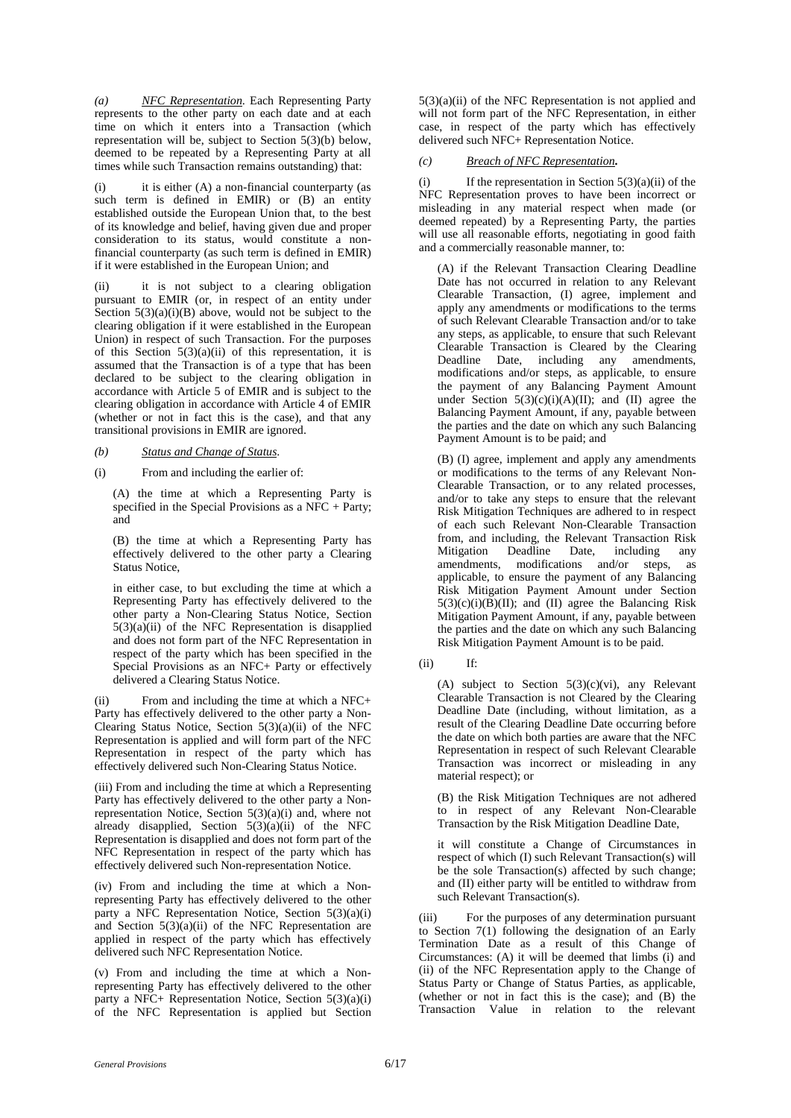*(a) NFC Representation*. Each Representing Party represents to the other party on each date and at each time on which it enters into a Transaction (which representation will be, subject to Section 5(3)(b) below, deemed to be repeated by a Representing Party at all times while such Transaction remains outstanding) that:

 $(i)$  it is either  $(A)$  a non-financial counterparty (as such term is defined in EMIR) or (B) an entity established outside the European Union that, to the best of its knowledge and belief, having given due and proper consideration to its status, would constitute a nonfinancial counterparty (as such term is defined in EMIR) if it were established in the European Union; and

it is not subject to a clearing obligation pursuant to EMIR (or, in respect of an entity under Section  $5(3)(a)(i)(B)$  above, would not be subject to the clearing obligation if it were established in the European Union) in respect of such Transaction. For the purposes of this Section  $5(3)(a)(ii)$  of this representation, it is assumed that the Transaction is of a type that has been declared to be subject to the clearing obligation in accordance with Article 5 of EMIR and is subject to the clearing obligation in accordance with Article 4 of EMIR (whether or not in fact this is the case), and that any transitional provisions in EMIR are ignored.

## *(b) Status and Change of Status*.

(i) From and including the earlier of:

(A) the time at which a Representing Party is specified in the Special Provisions as a NFC + Party; and

(B) the time at which a Representing Party has effectively delivered to the other party a Clearing Status Notice,

in either case, to but excluding the time at which a Representing Party has effectively delivered to the other party a Non-Clearing Status Notice, Section  $5(3)(a)(ii)$  of the NFC Representation is disapplied and does not form part of the NFC Representation in respect of the party which has been specified in the Special Provisions as an NFC+ Party or effectively delivered a Clearing Status Notice.

(ii) From and including the time at which a NFC+ Party has effectively delivered to the other party a Non-Clearing Status Notice, Section 5(3)(a)(ii) of the NFC Representation is applied and will form part of the NFC Representation in respect of the party which has effectively delivered such Non-Clearing Status Notice.

(iii) From and including the time at which a Representing Party has effectively delivered to the other party a Nonrepresentation Notice, Section 5(3)(a)(i) and, where not already disapplied, Section 5(3)(a)(ii) of the NFC Representation is disapplied and does not form part of the NFC Representation in respect of the party which has effectively delivered such Non-representation Notice.

(iv) From and including the time at which a Nonrepresenting Party has effectively delivered to the other party a NFC Representation Notice, Section 5(3)(a)(i) and Section  $5(3)(a)(ii)$  of the NFC Representation are applied in respect of the party which has effectively delivered such NFC Representation Notice.

(v) From and including the time at which a Nonrepresenting Party has effectively delivered to the other party a NFC+ Representation Notice, Section 5(3)(a)(i) of the NFC Representation is applied but Section

 $5(3)(a)(ii)$  of the NFC Representation is not applied and will not form part of the NFC Representation, in either case, in respect of the party which has effectively delivered such NFC+ Representation Notice.

#### *(c) Breach of NFC Representation***.**

If the representation in Section  $5(3)(a)(ii)$  of the NFC Representation proves to have been incorrect or misleading in any material respect when made (or deemed repeated) by a Representing Party, the parties will use all reasonable efforts, negotiating in good faith and a commercially reasonable manner, to:

(A) if the Relevant Transaction Clearing Deadline Date has not occurred in relation to any Relevant Clearable Transaction, (I) agree, implement and apply any amendments or modifications to the terms of such Relevant Clearable Transaction and/or to take any steps, as applicable, to ensure that such Relevant Clearable Transaction is Cleared by the Clearing Deadline Date, including any amendments, modifications and/or steps, as applicable, to ensure the payment of any Balancing Payment Amount under Section  $5(3)(c)(i)(A)(II)$ ; and (II) agree the Balancing Payment Amount, if any, payable between the parties and the date on which any such Balancing Payment Amount is to be paid; and

(B) (I) agree, implement and apply any amendments or modifications to the terms of any Relevant Non-Clearable Transaction, or to any related processes, and/or to take any steps to ensure that the relevant Risk Mitigation Techniques are adhered to in respect of each such Relevant Non-Clearable Transaction from, and including, the Relevant Transaction Risk<br>Mitigation Deadline Date, including any Mitigation Deadline Date, including any amendments, modifications and/or steps, as applicable, to ensure the payment of any Balancing Risk Mitigation Payment Amount under Section  $5(3)(c)(i)(B)(II)$ ; and (II) agree the Balancing Risk Mitigation Payment Amount, if any, payable between the parties and the date on which any such Balancing Risk Mitigation Payment Amount is to be paid.

(ii) If:

(A) subject to Section  $5(3)(c)(vi)$ , any Relevant Clearable Transaction is not Cleared by the Clearing Deadline Date (including, without limitation, as a result of the Clearing Deadline Date occurring before the date on which both parties are aware that the NFC Representation in respect of such Relevant Clearable Transaction was incorrect or misleading in any material respect); or

(B) the Risk Mitigation Techniques are not adhered to in respect of any Relevant Non-Clearable Transaction by the Risk Mitigation Deadline Date,

it will constitute a Change of Circumstances in respect of which (I) such Relevant Transaction(s) will be the sole Transaction(s) affected by such change; and (II) either party will be entitled to withdraw from such Relevant Transaction(s).

(iii) For the purposes of any determination pursuant to Section 7(1) following the designation of an Early Termination Date as a result of this Change of Circumstances: (A) it will be deemed that limbs (i) and (ii) of the NFC Representation apply to the Change of Status Party or Change of Status Parties, as applicable, (whether or not in fact this is the case); and (B) the Transaction Value in relation to the relevant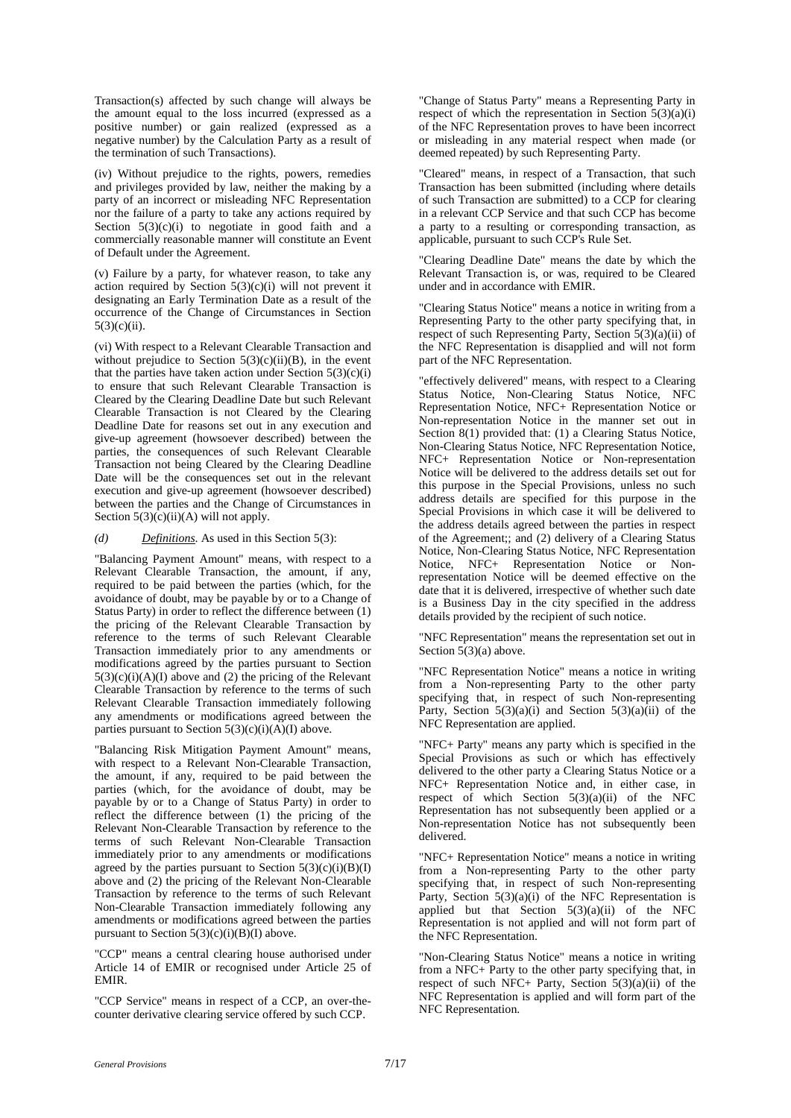Transaction(s) affected by such change will always be the amount equal to the loss incurred (expressed as a positive number) or gain realized (expressed as a negative number) by the Calculation Party as a result of the termination of such Transactions).

(iv) Without prejudice to the rights, powers, remedies and privileges provided by law, neither the making by a party of an incorrect or misleading NFC Representation nor the failure of a party to take any actions required by Section  $5(3)(c)(i)$  to negotiate in good faith and a commercially reasonable manner will constitute an Event of Default under the Agreement.

(v) Failure by a party, for whatever reason, to take any action required by Section  $5(3)(c)(i)$  will not prevent it designating an Early Termination Date as a result of the occurrence of the Change of Circumstances in Section  $5(3)(c)(ii)$ .

(vi) With respect to a Relevant Clearable Transaction and without prejudice to Section  $5(3)(c)(ii)(B)$ , in the event that the parties have taken action under Section  $5(3)(c)(i)$ to ensure that such Relevant Clearable Transaction is Cleared by the Clearing Deadline Date but such Relevant Clearable Transaction is not Cleared by the Clearing Deadline Date for reasons set out in any execution and give-up agreement (howsoever described) between the parties, the consequences of such Relevant Clearable Transaction not being Cleared by the Clearing Deadline Date will be the consequences set out in the relevant execution and give-up agreement (howsoever described) between the parties and the Change of Circumstances in Section  $5(3)(c)(ii)(A)$  will not apply.

*(d) Definitions*. As used in this Section 5(3):

"Balancing Payment Amount" means, with respect to a Relevant Clearable Transaction, the amount, if any, required to be paid between the parties (which, for the avoidance of doubt, may be payable by or to a Change of Status Party) in order to reflect the difference between (1) the pricing of the Relevant Clearable Transaction by reference to the terms of such Relevant Clearable Transaction immediately prior to any amendments or modifications agreed by the parties pursuant to Section  $5(3)(c)(i)(A)(I)$  above and (2) the pricing of the Relevant Clearable Transaction by reference to the terms of such Relevant Clearable Transaction immediately following any amendments or modifications agreed between the parties pursuant to Section  $5(3)(c)(i)(A)(I)$  above.

"Balancing Risk Mitigation Payment Amount" means, with respect to a Relevant Non-Clearable Transaction, the amount, if any, required to be paid between the parties (which, for the avoidance of doubt, may be payable by or to a Change of Status Party) in order to reflect the difference between (1) the pricing of the Relevant Non-Clearable Transaction by reference to the terms of such Relevant Non-Clearable Transaction immediately prior to any amendments or modifications agreed by the parties pursuant to Section  $5(3)(c)(i)(B)(I)$ above and (2) the pricing of the Relevant Non-Clearable Transaction by reference to the terms of such Relevant Non-Clearable Transaction immediately following any amendments or modifications agreed between the parties pursuant to Section  $5(3)(c)(i)(B)(I)$  above.

"CCP" means a central clearing house authorised under Article 14 of EMIR or recognised under Article 25 of EMIR.

"CCP Service" means in respect of a CCP, an over-thecounter derivative clearing service offered by such CCP.

"Change of Status Party" means a Representing Party in respect of which the representation in Section  $5(3)(a)(i)$ of the NFC Representation proves to have been incorrect or misleading in any material respect when made (or deemed repeated) by such Representing Party.

"Cleared" means, in respect of a Transaction, that such Transaction has been submitted (including where details of such Transaction are submitted) to a CCP for clearing in a relevant CCP Service and that such CCP has become a party to a resulting or corresponding transaction, as applicable, pursuant to such CCP's Rule Set.

"Clearing Deadline Date" means the date by which the Relevant Transaction is, or was, required to be Cleared under and in accordance with EMIR.

"Clearing Status Notice" means a notice in writing from a Representing Party to the other party specifying that, in respect of such Representing Party, Section 5(3)(a)(ii) of the NFC Representation is disapplied and will not form part of the NFC Representation.

"effectively delivered" means, with respect to a Clearing Status Notice, Non-Clearing Status Notice, NFC Representation Notice, NFC+ Representation Notice or Non-representation Notice in the manner set out in Section 8(1) provided that: (1) a Clearing Status Notice, Non-Clearing Status Notice, NFC Representation Notice, NFC+ Representation Notice or Non-representation Notice will be delivered to the address details set out for this purpose in the Special Provisions, unless no such address details are specified for this purpose in the Special Provisions in which case it will be delivered to the address details agreed between the parties in respect of the Agreement;; and (2) delivery of a Clearing Status Notice, Non-Clearing Status Notice, NFC Representation Notice, NFC+ Representation Notice or Nonrepresentation Notice will be deemed effective on the date that it is delivered, irrespective of whether such date is a Business Day in the city specified in the address details provided by the recipient of such notice.

"NFC Representation" means the representation set out in Section 5(3)(a) above.

"NFC Representation Notice" means a notice in writing from a Non-representing Party to the other party specifying that, in respect of such Non-representing Party, Section  $5(3)(a)(i)$  and Section  $5(3)(a)(ii)$  of the NFC Representation are applied.

"NFC+ Party" means any party which is specified in the Special Provisions as such or which has effectively delivered to the other party a Clearing Status Notice or a NFC+ Representation Notice and, in either case, in respect of which Section  $5(3)(a)(ii)$  of the NFC Representation has not subsequently been applied or a Non-representation Notice has not subsequently been delivered.

"NFC+ Representation Notice" means a notice in writing from a Non-representing Party to the other party specifying that, in respect of such Non-representing Party, Section 5(3)(a)(i) of the NFC Representation is applied but that Section  $5(3)(a)(ii)$  of the NFC Representation is not applied and will not form part of the NFC Representation.

"Non-Clearing Status Notice" means a notice in writing from a NFC+ Party to the other party specifying that, in respect of such NFC+ Party, Section  $5(3)(a)(ii)$  of the NFC Representation is applied and will form part of the NFC Representation.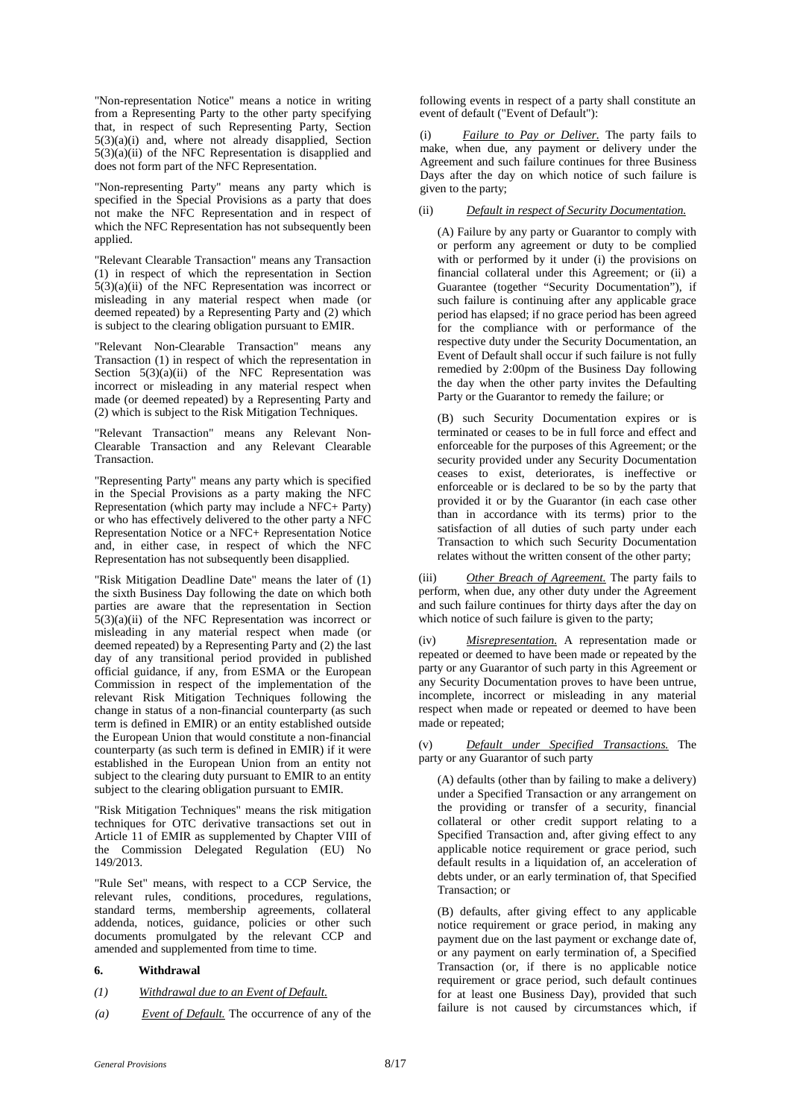"Non-representation Notice" means a notice in writing from a Representing Party to the other party specifying that, in respect of such Representing Party, Section  $5(3)(a)(i)$  and, where not already disapplied, Section  $5(3)(a)(ii)$  of the NFC Representation is disapplied and does not form part of the NFC Representation.

"Non-representing Party" means any party which is specified in the Special Provisions as a party that does not make the NFC Representation and in respect of which the NFC Representation has not subsequently been applied.

"Relevant Clearable Transaction" means any Transaction (1) in respect of which the representation in Section  $5(3)(a)(ii)$  of the NFC Representation was incorrect or misleading in any material respect when made (or deemed repeated) by a Representing Party and (2) which is subject to the clearing obligation pursuant to EMIR.

"Relevant Non-Clearable Transaction" means any Transaction (1) in respect of which the representation in Section  $5(3)(a)(ii)$  of the NFC Representation was incorrect or misleading in any material respect when made (or deemed repeated) by a Representing Party and (2) which is subject to the Risk Mitigation Techniques.

"Relevant Transaction" means any Relevant Non-Clearable Transaction and any Relevant Clearable Transaction.

"Representing Party" means any party which is specified in the Special Provisions as a party making the NFC Representation (which party may include a NFC+ Party) or who has effectively delivered to the other party a NFC Representation Notice or a NFC+ Representation Notice and, in either case, in respect of which the NFC Representation has not subsequently been disapplied.

"Risk Mitigation Deadline Date" means the later of (1) the sixth Business Day following the date on which both parties are aware that the representation in Section  $5(3)(a)(ii)$  of the NFC Representation was incorrect or misleading in any material respect when made (or deemed repeated) by a Representing Party and (2) the last day of any transitional period provided in published official guidance, if any, from ESMA or the European Commission in respect of the implementation of the relevant Risk Mitigation Techniques following the change in status of a non-financial counterparty (as such term is defined in EMIR) or an entity established outside the European Union that would constitute a non-financial counterparty (as such term is defined in EMIR) if it were established in the European Union from an entity not subject to the clearing duty pursuant to EMIR to an entity subject to the clearing obligation pursuant to EMIR.

"Risk Mitigation Techniques" means the risk mitigation techniques for OTC derivative transactions set out in Article 11 of EMIR as supplemented by Chapter VIII of the Commission Delegated Regulation (EU) No 149/2013.

"Rule Set" means, with respect to a CCP Service, the relevant rules, conditions, procedures, regulations, standard terms, membership agreements, collateral addenda, notices, guidance, policies or other such documents promulgated by the relevant CCP and amended and supplemented from time to time.

#### **6. Withdrawal**

- *(1) Withdrawal due to an Event of Default.*
- *(a) Event of Default.* The occurrence of any of the

following events in respect of a party shall constitute an event of default ("Event of Default"):

(i) *Failure to Pay or Deliver.* The party fails to make, when due, any payment or delivery under the Agreement and such failure continues for three Business Days after the day on which notice of such failure is given to the party;

## (ii) *Default in respect of Security Documentation.*

(A) Failure by any party or Guarantor to comply with or perform any agreement or duty to be complied with or performed by it under (i) the provisions on financial collateral under this Agreement; or (ii) a Guarantee (together "Security Documentation"), if such failure is continuing after any applicable grace period has elapsed; if no grace period has been agreed for the compliance with or performance of the respective duty under the Security Documentation, an Event of Default shall occur if such failure is not fully remedied by 2:00pm of the Business Day following the day when the other party invites the Defaulting Party or the Guarantor to remedy the failure; or

(B) such Security Documentation expires or is terminated or ceases to be in full force and effect and enforceable for the purposes of this Agreement; or the security provided under any Security Documentation ceases to exist, deteriorates, is ineffective or enforceable or is declared to be so by the party that provided it or by the Guarantor (in each case other than in accordance with its terms) prior to the satisfaction of all duties of such party under each Transaction to which such Security Documentation relates without the written consent of the other party;

(iii) *Other Breach of Agreement.* The party fails to perform, when due, any other duty under the Agreement and such failure continues for thirty days after the day on which notice of such failure is given to the party;

Misrepresentation. A representation made or repeated or deemed to have been made or repeated by the party or any Guarantor of such party in this Agreement or any Security Documentation proves to have been untrue, incomplete, incorrect or misleading in any material respect when made or repeated or deemed to have been made or repeated;

(v) *Default under Specified Transactions.* The party or any Guarantor of such party

(A) defaults (other than by failing to make a delivery) under a Specified Transaction or any arrangement on the providing or transfer of a security, financial collateral or other credit support relating to a Specified Transaction and, after giving effect to any applicable notice requirement or grace period, such default results in a liquidation of, an acceleration of debts under, or an early termination of, that Specified Transaction; or

(B) defaults, after giving effect to any applicable notice requirement or grace period, in making any payment due on the last payment or exchange date of, or any payment on early termination of, a Specified Transaction (or, if there is no applicable notice requirement or grace period, such default continues for at least one Business Day), provided that such failure is not caused by circumstances which, if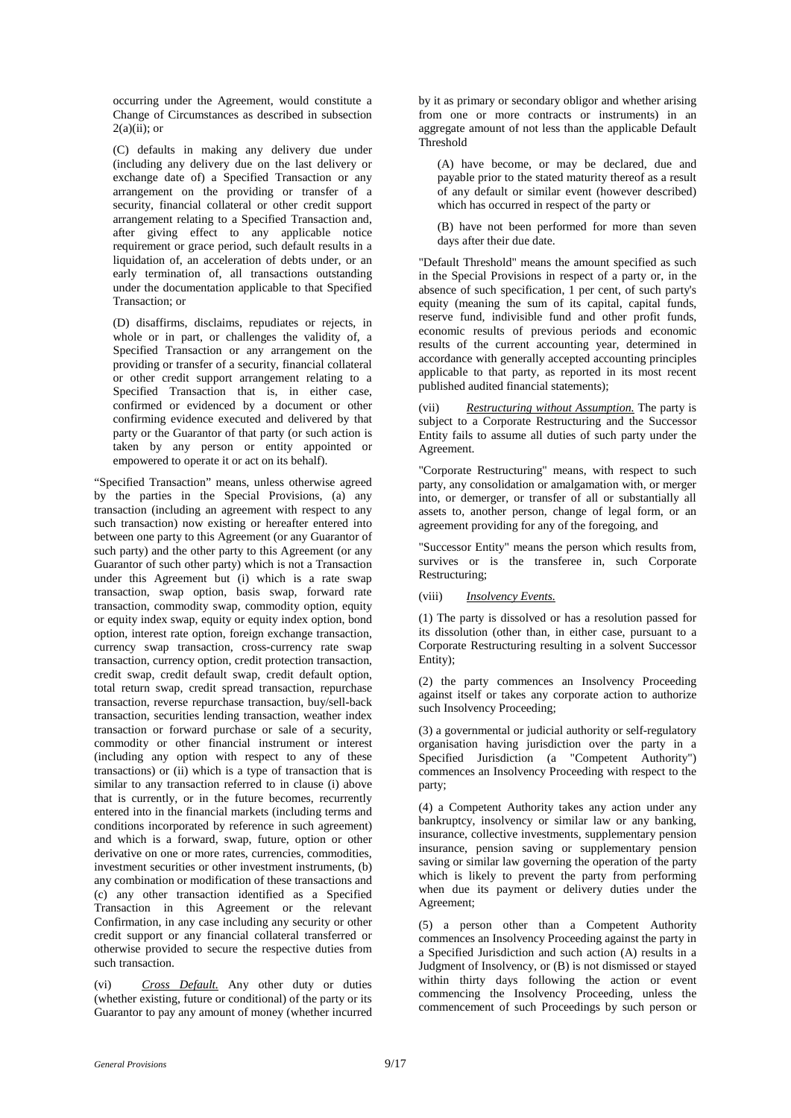occurring under the Agreement, would constitute a Change of Circumstances as described in subsection  $2(a)(ii)$ ; or

(C) defaults in making any delivery due under (including any delivery due on the last delivery or exchange date of) a Specified Transaction or any arrangement on the providing or transfer of a security, financial collateral or other credit support arrangement relating to a Specified Transaction and, after giving effect to any applicable notice requirement or grace period, such default results in a liquidation of, an acceleration of debts under, or an early termination of, all transactions outstanding under the documentation applicable to that Specified Transaction; or

(D) disaffirms, disclaims, repudiates or rejects, in whole or in part, or challenges the validity of, a Specified Transaction or any arrangement on the providing or transfer of a security, financial collateral or other credit support arrangement relating to a Specified Transaction that is, in either case, confirmed or evidenced by a document or other confirming evidence executed and delivered by that party or the Guarantor of that party (or such action is taken by any person or entity appointed or empowered to operate it or act on its behalf).

"Specified Transaction" means, unless otherwise agreed by the parties in the Special Provisions, (a) any transaction (including an agreement with respect to any such transaction) now existing or hereafter entered into between one party to this Agreement (or any Guarantor of such party) and the other party to this Agreement (or any Guarantor of such other party) which is not a Transaction under this Agreement but (i) which is a rate swap transaction, swap option, basis swap, forward rate transaction, commodity swap, commodity option, equity or equity index swap, equity or equity index option, bond option, interest rate option, foreign exchange transaction, currency swap transaction, cross-currency rate swap transaction, currency option, credit protection transaction, credit swap, credit default swap, credit default option, total return swap, credit spread transaction, repurchase transaction, reverse repurchase transaction, buy/sell-back transaction, securities lending transaction, weather index transaction or forward purchase or sale of a security, commodity or other financial instrument or interest (including any option with respect to any of these transactions) or (ii) which is a type of transaction that is similar to any transaction referred to in clause (i) above that is currently, or in the future becomes, recurrently entered into in the financial markets (including terms and conditions incorporated by reference in such agreement) and which is a forward, swap, future, option or other derivative on one or more rates, currencies, commodities, investment securities or other investment instruments, (b) any combination or modification of these transactions and (c) any other transaction identified as a Specified Transaction in this Agreement or the relevant Confirmation, in any case including any security or other credit support or any financial collateral transferred or otherwise provided to secure the respective duties from such transaction.

(vi) *Cross Default.* Any other duty or duties (whether existing, future or conditional) of the party or its Guarantor to pay any amount of money (whether incurred by it as primary or secondary obligor and whether arising from one or more contracts or instruments) in an aggregate amount of not less than the applicable Default Threshold

(A) have become, or may be declared, due and payable prior to the stated maturity thereof as a result of any default or similar event (however described) which has occurred in respect of the party or

(B) have not been performed for more than seven days after their due date.

"Default Threshold" means the amount specified as such in the Special Provisions in respect of a party or, in the absence of such specification, 1 per cent, of such party's equity (meaning the sum of its capital, capital funds, reserve fund, indivisible fund and other profit funds, economic results of previous periods and economic results of the current accounting year, determined in accordance with generally accepted accounting principles applicable to that party, as reported in its most recent published audited financial statements);

(vii) *Restructuring without Assumption.* The party is subject to a Corporate Restructuring and the Successor Entity fails to assume all duties of such party under the Agreement.

"Corporate Restructuring" means, with respect to such party, any consolidation or amalgamation with, or merger into, or demerger, or transfer of all or substantially all assets to, another person, change of legal form, or an agreement providing for any of the foregoing, and

"Successor Entity" means the person which results from, survives or is the transferee in, such Corporate Restructuring;

## (viii) *Insolvency Events.*

(1) The party is dissolved or has a resolution passed for its dissolution (other than, in either case, pursuant to a Corporate Restructuring resulting in a solvent Successor Entity);

(2) the party commences an Insolvency Proceeding against itself or takes any corporate action to authorize such Insolvency Proceeding;

(3) a governmental or judicial authority or self-regulatory organisation having jurisdiction over the party in a Specified Jurisdiction (a "Competent Authority") commences an Insolvency Proceeding with respect to the party;

(4) a Competent Authority takes any action under any bankruptcy, insolvency or similar law or any banking, insurance, collective investments, supplementary pension insurance, pension saving or supplementary pension saving or similar law governing the operation of the party which is likely to prevent the party from performing when due its payment or delivery duties under the Agreement;

(5) a person other than a Competent Authority commences an Insolvency Proceeding against the party in a Specified Jurisdiction and such action (A) results in a Judgment of Insolvency, or (B) is not dismissed or stayed within thirty days following the action or event commencing the Insolvency Proceeding, unless the commencement of such Proceedings by such person or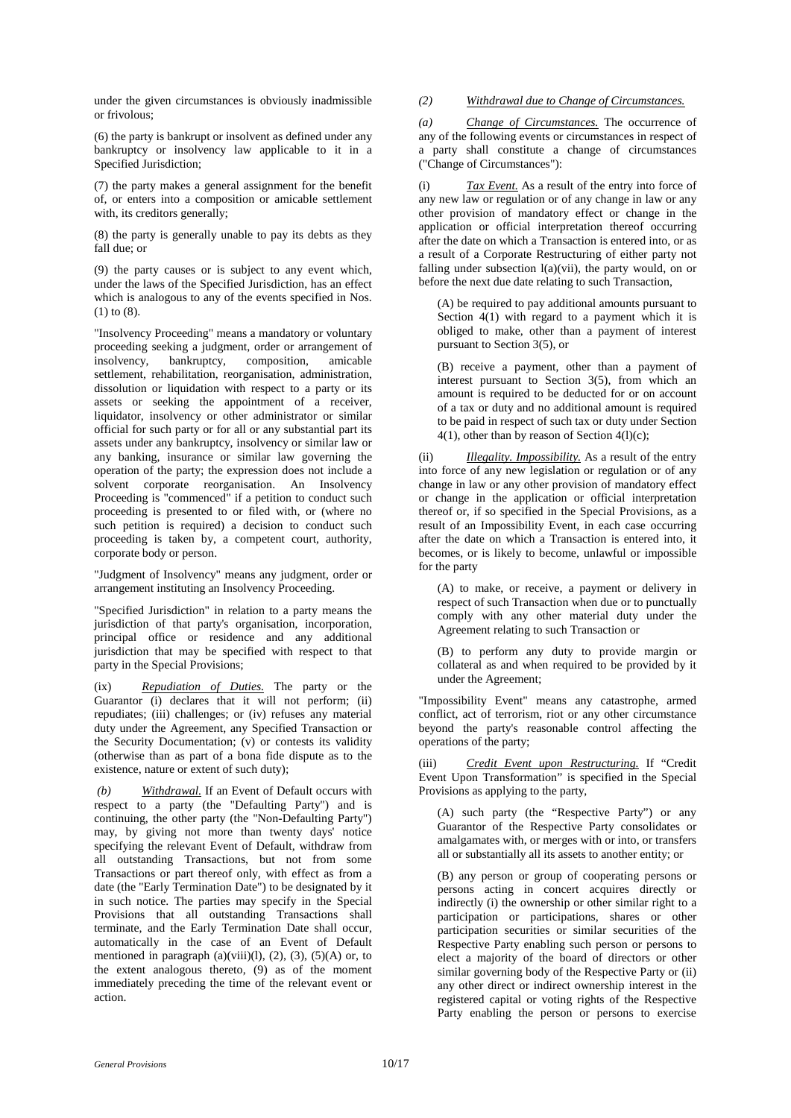under the given circumstances is obviously inadmissible or frivolous;

(6) the party is bankrupt or insolvent as defined under any bankruptcy or insolvency law applicable to it in a Specified Jurisdiction;

(7) the party makes a general assignment for the benefit of, or enters into a composition or amicable settlement with, its creditors generally;

(8) the party is generally unable to pay its debts as they fall due; or

(9) the party causes or is subject to any event which, under the laws of the Specified Jurisdiction, has an effect which is analogous to any of the events specified in Nos. (1) to (8).

"Insolvency Proceeding" means a mandatory or voluntary proceeding seeking a judgment, order or arrangement of insolvency, bankruptcy, composition, amicable bankruptcy, settlement, rehabilitation, reorganisation, administration, dissolution or liquidation with respect to a party or its assets or seeking the appointment of a receiver, liquidator, insolvency or other administrator or similar official for such party or for all or any substantial part its assets under any bankruptcy, insolvency or similar law or any banking, insurance or similar law governing the operation of the party; the expression does not include a solvent corporate reorganisation. An Insolvency Proceeding is "commenced" if a petition to conduct such proceeding is presented to or filed with, or (where no such petition is required) a decision to conduct such proceeding is taken by, a competent court, authority, corporate body or person.

"Judgment of Insolvency" means any judgment, order or arrangement instituting an Insolvency Proceeding.

"Specified Jurisdiction" in relation to a party means the jurisdiction of that party's organisation, incorporation, principal office or residence and any additional jurisdiction that may be specified with respect to that party in the Special Provisions;

(ix) *Repudiation of Duties.* The party or the Guarantor (i) declares that it will not perform; (ii) repudiates; (iii) challenges; or (iv) refuses any material duty under the Agreement, any Specified Transaction or the Security Documentation; (v) or contests its validity (otherwise than as part of a bona fide dispute as to the existence, nature or extent of such duty);

*(b) Withdrawal.* If an Event of Default occurs with respect to a party (the "Defaulting Party") and is continuing, the other party (the "Non-Defaulting Party") may, by giving not more than twenty days' notice specifying the relevant Event of Default, withdraw from all outstanding Transactions, but not from some Transactions or part thereof only, with effect as from a date (the "Early Termination Date") to be designated by it in such notice. The parties may specify in the Special Provisions that all outstanding Transactions shall terminate, and the Early Termination Date shall occur, automatically in the case of an Event of Default mentioned in paragraph  $(a)(viii)(l)$ ,  $(2)$ ,  $(3)$ ,  $(5)(A)$  or, to the extent analogous thereto, (9) as of the moment immediately preceding the time of the relevant event or action.

# *(2) Withdrawal due to Change of Circumstances.*

*(a) Change of Circumstances.* The occurrence of any of the following events or circumstances in respect of a party shall constitute a change of circumstances ("Change of Circumstances"):

Tax Event. As a result of the entry into force of any new law or regulation or of any change in law or any other provision of mandatory effect or change in the application or official interpretation thereof occurring after the date on which a Transaction is entered into, or as a result of a Corporate Restructuring of either party not falling under subsection  $l(a)(vii)$ , the party would, on or before the next due date relating to such Transaction,

(A) be required to pay additional amounts pursuant to Section 4(1) with regard to a payment which it is obliged to make, other than a payment of interest pursuant to Section 3(5), or

(B) receive a payment, other than a payment of interest pursuant to Section 3(5), from which an amount is required to be deducted for or on account of a tax or duty and no additional amount is required to be paid in respect of such tax or duty under Section  $4(1)$ , other than by reason of Section  $4(1)(c)$ ;

(ii) *Illegality. Impossibility.* As a result of the entry into force of any new legislation or regulation or of any change in law or any other provision of mandatory effect or change in the application or official interpretation thereof or, if so specified in the Special Provisions, as a result of an Impossibility Event, in each case occurring after the date on which a Transaction is entered into, it becomes, or is likely to become, unlawful or impossible for the party

(A) to make, or receive, a payment or delivery in respect of such Transaction when due or to punctually comply with any other material duty under the Agreement relating to such Transaction or

(B) to perform any duty to provide margin or collateral as and when required to be provided by it under the Agreement;

"Impossibility Event" means any catastrophe, armed conflict, act of terrorism, riot or any other circumstance beyond the party's reasonable control affecting the operations of the party;

(iii) *Credit Event upon Restructuring.* If "Credit Event Upon Transformation" is specified in the Special Provisions as applying to the party,

(A) such party (the "Respective Party") or any Guarantor of the Respective Party consolidates or amalgamates with, or merges with or into, or transfers all or substantially all its assets to another entity; or

(B) any person or group of cooperating persons or persons acting in concert acquires directly or indirectly (i) the ownership or other similar right to a participation or participations, shares or other participation securities or similar securities of the Respective Party enabling such person or persons to elect a majority of the board of directors or other similar governing body of the Respective Party or (ii) any other direct or indirect ownership interest in the registered capital or voting rights of the Respective Party enabling the person or persons to exercise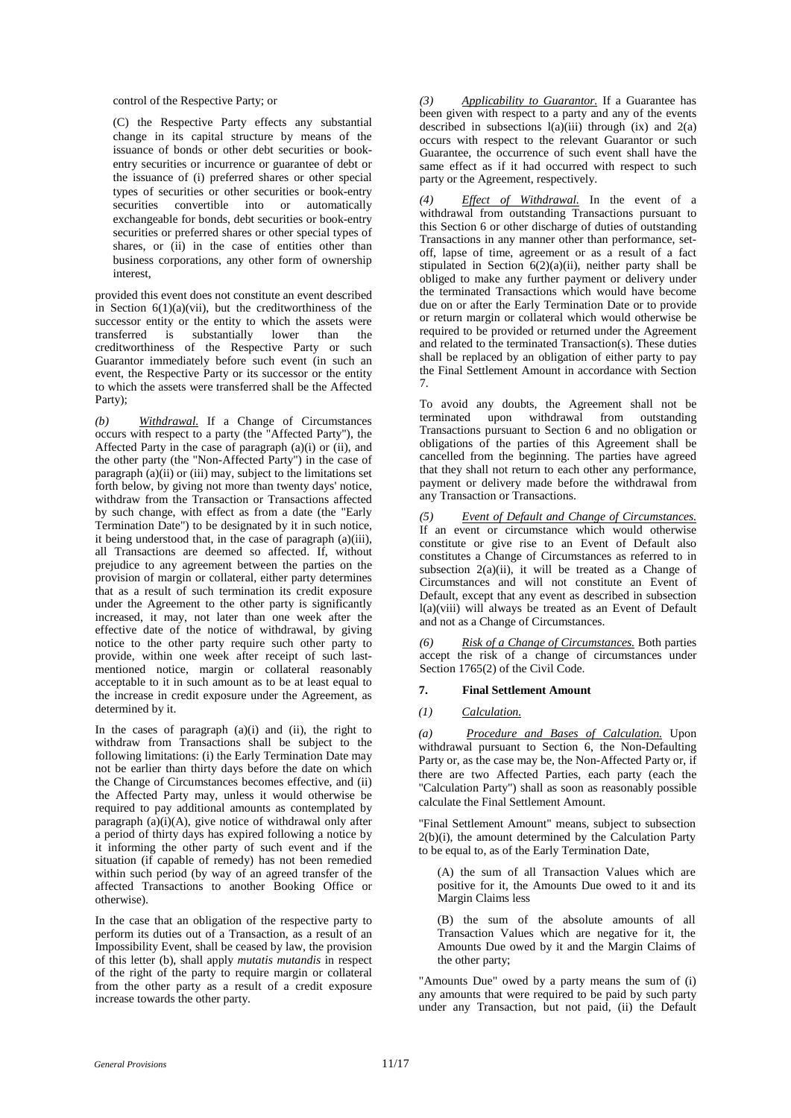control of the Respective Party; or

(C) the Respective Party effects any substantial change in its capital structure by means of the issuance of bonds or other debt securities or bookentry securities or incurrence or guarantee of debt or the issuance of (i) preferred shares or other special types of securities or other securities or book-entry<br>securities convertible into or automatically convertible into or automatically exchangeable for bonds, debt securities or book-entry securities or preferred shares or other special types of shares, or (ii) in the case of entities other than business corporations, any other form of ownership interest,

provided this event does not constitute an event described in Section  $6(1)(a)(vii)$ , but the creditworthiness of the successor entity or the entity to which the assets were<br>transferred is substantially lower than the transferred is substantially lower than the creditworthiness of the Respective Party or such Guarantor immediately before such event (in such an event, the Respective Party or its successor or the entity to which the assets were transferred shall be the Affected Party);

*(b) Withdrawal.* If a Change of Circumstances occurs with respect to a party (the "Affected Party"), the Affected Party in the case of paragraph (a)(i) or (ii), and the other party (the "Non-Affected Party") in the case of paragraph (a)(ii) or (iii) may, subject to the limitations set forth below, by giving not more than twenty days' notice, withdraw from the Transaction or Transactions affected by such change, with effect as from a date (the "Early Termination Date") to be designated by it in such notice, it being understood that, in the case of paragraph (a)(iii), all Transactions are deemed so affected. If, without prejudice to any agreement between the parties on the provision of margin or collateral, either party determines that as a result of such termination its credit exposure under the Agreement to the other party is significantly increased, it may, not later than one week after the effective date of the notice of withdrawal, by giving notice to the other party require such other party to provide, within one week after receipt of such lastmentioned notice, margin or collateral reasonably acceptable to it in such amount as to be at least equal to the increase in credit exposure under the Agreement, as determined by it.

In the cases of paragraph  $(a)(i)$  and  $(ii)$ , the right to withdraw from Transactions shall be subject to the following limitations: (i) the Early Termination Date may not be earlier than thirty days before the date on which the Change of Circumstances becomes effective, and (ii) the Affected Party may, unless it would otherwise be required to pay additional amounts as contemplated by paragraph  $(a)(i)(A)$ , give notice of withdrawal only after a period of thirty days has expired following a notice by it informing the other party of such event and if the situation (if capable of remedy) has not been remedied within such period (by way of an agreed transfer of the affected Transactions to another Booking Office or otherwise).

In the case that an obligation of the respective party to perform its duties out of a Transaction, as a result of an Impossibility Event, shall be ceased by law, the provision of this letter (b), shall apply *mutatis mutandis* in respect of the right of the party to require margin or collateral from the other party as a result of a credit exposure increase towards the other party.

*(3) Applicability to Guarantor.* If a Guarantee has been given with respect to a party and any of the events described in subsections  $l(a)(iii)$  through  $(ix)$  and  $2(a)$ occurs with respect to the relevant Guarantor or such Guarantee, the occurrence of such event shall have the same effect as if it had occurred with respect to such party or the Agreement, respectively.

*<i>Effect of Withdrawal*. In the event of a withdrawal from outstanding Transactions pursuant to this Section 6 or other discharge of duties of outstanding Transactions in any manner other than performance, setoff, lapse of time, agreement or as a result of a fact stipulated in Section  $6(2)(a)(ii)$ , neither party shall be obliged to make any further payment or delivery under the terminated Transactions which would have become due on or after the Early Termination Date or to provide or return margin or collateral which would otherwise be required to be provided or returned under the Agreement and related to the terminated Transaction(s). These duties shall be replaced by an obligation of either party to pay the Final Settlement Amount in accordance with Section 7.

To avoid any doubts, the Agreement shall not be terminated upon withdrawal from outstanding Transactions pursuant to Section 6 and no obligation or obligations of the parties of this Agreement shall be cancelled from the beginning. The parties have agreed that they shall not return to each other any performance, payment or delivery made before the withdrawal from any Transaction or Transactions.

*(5) Event of Default and Change of Circumstances.* If an event or circumstance which would otherwise constitute or give rise to an Event of Default also constitutes a Change of Circumstances as referred to in subsection  $2(a)(ii)$ , it will be treated as a Change of Circumstances and will not constitute an Event of Default, except that any event as described in subsection l(a)(viii) will always be treated as an Event of Default and not as a Change of Circumstances.

*(6) Risk of a Change of Circumstances.* Both parties accept the risk of a change of circumstances under Section 1765(2) of the Civil Code.

## **7. Final Settlement Amount**

## *(1) Calculation.*

*(a) Procedure and Bases of Calculation.* Upon withdrawal pursuant to Section 6, the Non-Defaulting Party or, as the case may be, the Non-Affected Party or, if there are two Affected Parties, each party (each the "Calculation Party") shall as soon as reasonably possible calculate the Final Settlement Amount.

"Final Settlement Amount" means, subject to subsection 2(b)(i), the amount determined by the Calculation Party to be equal to, as of the Early Termination Date,

(A) the sum of all Transaction Values which are positive for it, the Amounts Due owed to it and its Margin Claims less

(B) the sum of the absolute amounts of all Transaction Values which are negative for it, the Amounts Due owed by it and the Margin Claims of the other party;

"Amounts Due" owed by a party means the sum of (i) any amounts that were required to be paid by such party under any Transaction, but not paid, (ii) the Default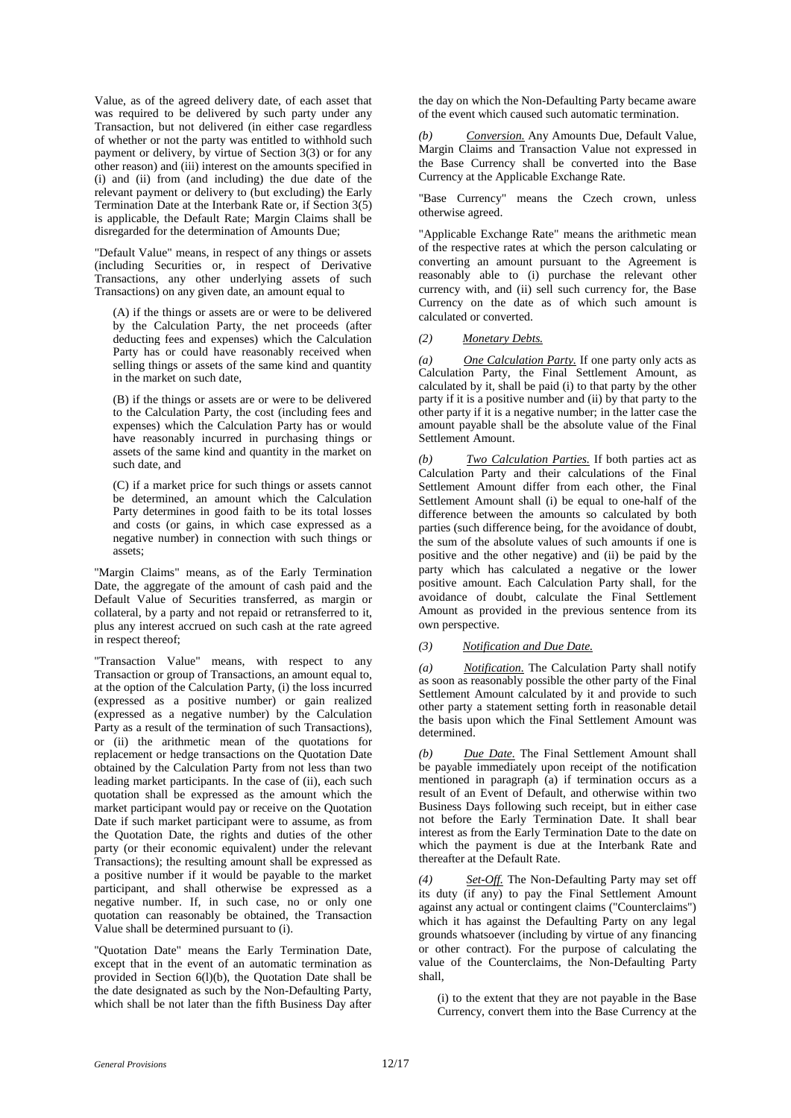Value, as of the agreed delivery date, of each asset that was required to be delivered by such party under any Transaction, but not delivered (in either case regardless of whether or not the party was entitled to withhold such payment or delivery, by virtue of Section 3(3) or for any other reason) and (iii) interest on the amounts specified in (i) and (ii) from (and including) the due date of the relevant payment or delivery to (but excluding) the Early Termination Date at the Interbank Rate or, if Section 3(5) is applicable, the Default Rate; Margin Claims shall be disregarded for the determination of Amounts Due;

"Default Value" means, in respect of any things or assets (including Securities or, in respect of Derivative Transactions, any other underlying assets of such Transactions) on any given date, an amount equal to

(A) if the things or assets are or were to be delivered by the Calculation Party, the net proceeds (after deducting fees and expenses) which the Calculation Party has or could have reasonably received when selling things or assets of the same kind and quantity in the market on such date,

(B) if the things or assets are or were to be delivered to the Calculation Party, the cost (including fees and expenses) which the Calculation Party has or would have reasonably incurred in purchasing things or assets of the same kind and quantity in the market on such date, and

(C) if a market price for such things or assets cannot be determined, an amount which the Calculation Party determines in good faith to be its total losses and costs (or gains, in which case expressed as a negative number) in connection with such things or assets;

"Margin Claims" means, as of the Early Termination Date, the aggregate of the amount of cash paid and the Default Value of Securities transferred, as margin or collateral, by a party and not repaid or retransferred to it, plus any interest accrued on such cash at the rate agreed in respect thereof;

"Transaction Value" means, with respect to any Transaction or group of Transactions, an amount equal to, at the option of the Calculation Party, (i) the loss incurred (expressed as a positive number) or gain realized (expressed as a negative number) by the Calculation Party as a result of the termination of such Transactions), or (ii) the arithmetic mean of the quotations for replacement or hedge transactions on the Quotation Date obtained by the Calculation Party from not less than two leading market participants. In the case of (ii), each such quotation shall be expressed as the amount which the market participant would pay or receive on the Quotation Date if such market participant were to assume, as from the Quotation Date, the rights and duties of the other party (or their economic equivalent) under the relevant Transactions); the resulting amount shall be expressed as a positive number if it would be payable to the market participant, and shall otherwise be expressed as a negative number. If, in such case, no or only one quotation can reasonably be obtained, the Transaction Value shall be determined pursuant to (i).

"Quotation Date" means the Early Termination Date, except that in the event of an automatic termination as provided in Section 6(l)(b), the Quotation Date shall be the date designated as such by the Non-Defaulting Party, which shall be not later than the fifth Business Day after

the day on which the Non-Defaulting Party became aware of the event which caused such automatic termination.

*(b) Conversion.* Any Amounts Due, Default Value, Margin Claims and Transaction Value not expressed in the Base Currency shall be converted into the Base Currency at the Applicable Exchange Rate.

"Base Currency" means the Czech crown, unless otherwise agreed.

"Applicable Exchange Rate" means the arithmetic mean of the respective rates at which the person calculating or converting an amount pursuant to the Agreement is reasonably able to (i) purchase the relevant other currency with, and (ii) sell such currency for, the Base Currency on the date as of which such amount is calculated or converted.

#### *(2) Monetary Debts.*

*(a) One Calculation Party.* If one party only acts as Calculation Party, the Final Settlement Amount, as calculated by it, shall be paid (i) to that party by the other party if it is a positive number and (ii) by that party to the other party if it is a negative number; in the latter case the amount payable shall be the absolute value of the Final Settlement Amount.

*(b) Two Calculation Parties.* If both parties act as Calculation Party and their calculations of the Final Settlement Amount differ from each other, the Final Settlement Amount shall (i) be equal to one-half of the difference between the amounts so calculated by both parties (such difference being, for the avoidance of doubt, the sum of the absolute values of such amounts if one is positive and the other negative) and (ii) be paid by the party which has calculated a negative or the lower positive amount. Each Calculation Party shall, for the avoidance of doubt, calculate the Final Settlement Amount as provided in the previous sentence from its own perspective.

#### *(3) Notification and Due Date.*

*(a) Notification.* The Calculation Party shall notify as soon as reasonably possible the other party of the Final Settlement Amount calculated by it and provide to such other party a statement setting forth in reasonable detail the basis upon which the Final Settlement Amount was determined.

*(b) Due Date.* The Final Settlement Amount shall be payable immediately upon receipt of the notification mentioned in paragraph (a) if termination occurs as a result of an Event of Default, and otherwise within two Business Days following such receipt, but in either case not before the Early Termination Date. It shall bear interest as from the Early Termination Date to the date on which the payment is due at the Interbank Rate and thereafter at the Default Rate.

Set-Off. The Non-Defaulting Party may set off its duty (if any) to pay the Final Settlement Amount against any actual or contingent claims ("Counterclaims") which it has against the Defaulting Party on any legal grounds whatsoever (including by virtue of any financing or other contract). For the purpose of calculating the value of the Counterclaims, the Non-Defaulting Party shall,

(i) to the extent that they are not payable in the Base Currency, convert them into the Base Currency at the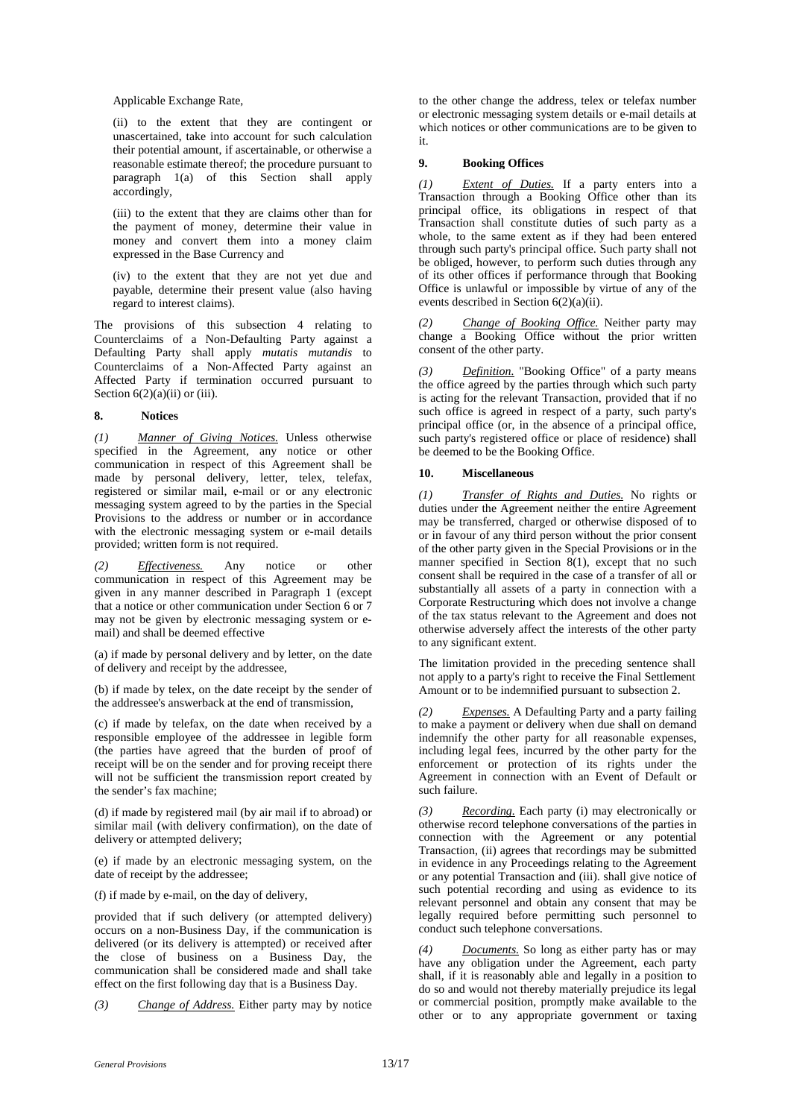Applicable Exchange Rate,

(ii) to the extent that they are contingent or unascertained, take into account for such calculation their potential amount, if ascertainable, or otherwise a reasonable estimate thereof; the procedure pursuant to paragraph 1(a) of this Section shall apply accordingly,

(iii) to the extent that they are claims other than for the payment of money, determine their value in money and convert them into a money claim expressed in the Base Currency and

(iv) to the extent that they are not yet due and payable, determine their present value (also having regard to interest claims).

The provisions of this subsection 4 relating to Counterclaims of a Non-Defaulting Party against a Defaulting Party shall apply *mutatis mutandis* to Counterclaims of a Non-Affected Party against an Affected Party if termination occurred pursuant to Section  $6(2)(a)(ii)$  or (iii).

## **8. Notices**

*(1) Manner of Giving Notices.* Unless otherwise specified in the Agreement, any notice or other communication in respect of this Agreement shall be made by personal delivery, letter, telex, telefax, registered or similar mail, e-mail or or any electronic messaging system agreed to by the parties in the Special Provisions to the address or number or in accordance with the electronic messaging system or e-mail details provided; written form is not required.

*(2) Effectiveness.* Any notice or other communication in respect of this Agreement may be given in any manner described in Paragraph 1 (except that a notice or other communication under Section 6 or 7 may not be given by electronic messaging system or email) and shall be deemed effective

(a) if made by personal delivery and by letter, on the date of delivery and receipt by the addressee,

(b) if made by telex, on the date receipt by the sender of the addressee's answerback at the end of transmission,

(c) if made by telefax, on the date when received by a responsible employee of the addressee in legible form (the parties have agreed that the burden of proof of receipt will be on the sender and for proving receipt there will not be sufficient the transmission report created by the sender's fax machine;

(d) if made by registered mail (by air mail if to abroad) or similar mail (with delivery confirmation), on the date of delivery or attempted delivery;

(e) if made by an electronic messaging system, on the date of receipt by the addressee;

(f) if made by e-mail, on the day of delivery,

provided that if such delivery (or attempted delivery) occurs on a non-Business Day, if the communication is delivered (or its delivery is attempted) or received after the close of business on a Business Day, the communication shall be considered made and shall take effect on the first following day that is a Business Day.

*(3) Change of Address.* Either party may by notice

to the other change the address, telex or telefax number or electronic messaging system details or e-mail details at which notices or other communications are to be given to it.

# **9. Booking Offices**

*(1) Extent of Duties.* If a party enters into a Transaction through a Booking Office other than its principal office, its obligations in respect of that Transaction shall constitute duties of such party as a whole, to the same extent as if they had been entered through such party's principal office. Such party shall not be obliged, however, to perform such duties through any of its other offices if performance through that Booking Office is unlawful or impossible by virtue of any of the events described in Section 6(2)(a)(ii).

*(2) Change of Booking Office.* Neither party may change a Booking Office without the prior written consent of the other party.

*(3) Definition.* "Booking Office" of a party means the office agreed by the parties through which such party is acting for the relevant Transaction, provided that if no such office is agreed in respect of a party, such party's principal office (or, in the absence of a principal office, such party's registered office or place of residence) shall be deemed to be the Booking Office.

# **10. Miscellaneous**

*(1) Transfer of Rights and Duties.* No rights or duties under the Agreement neither the entire Agreement may be transferred, charged or otherwise disposed of to or in favour of any third person without the prior consent of the other party given in the Special Provisions or in the manner specified in Section 8(1), except that no such consent shall be required in the case of a transfer of all or substantially all assets of a party in connection with a Corporate Restructuring which does not involve a change of the tax status relevant to the Agreement and does not otherwise adversely affect the interests of the other party to any significant extent.

The limitation provided in the preceding sentence shall not apply to a party's right to receive the Final Settlement Amount or to be indemnified pursuant to subsection 2.

*(2) Expenses.* A Defaulting Party and a party failing to make a payment or delivery when due shall on demand indemnify the other party for all reasonable expenses, including legal fees, incurred by the other party for the enforcement or protection of its rights under the Agreement in connection with an Event of Default or such failure.

*(3) Recording.* Each party (i) may electronically or otherwise record telephone conversations of the parties in connection with the Agreement or any potential Transaction, (ii) agrees that recordings may be submitted in evidence in any Proceedings relating to the Agreement or any potential Transaction and (iii). shall give notice of such potential recording and using as evidence to its relevant personnel and obtain any consent that may be legally required before permitting such personnel to conduct such telephone conversations.

*(4) Documents.* So long as either party has or may have any obligation under the Agreement, each party shall, if it is reasonably able and legally in a position to do so and would not thereby materially prejudice its legal or commercial position, promptly make available to the other or to any appropriate government or taxing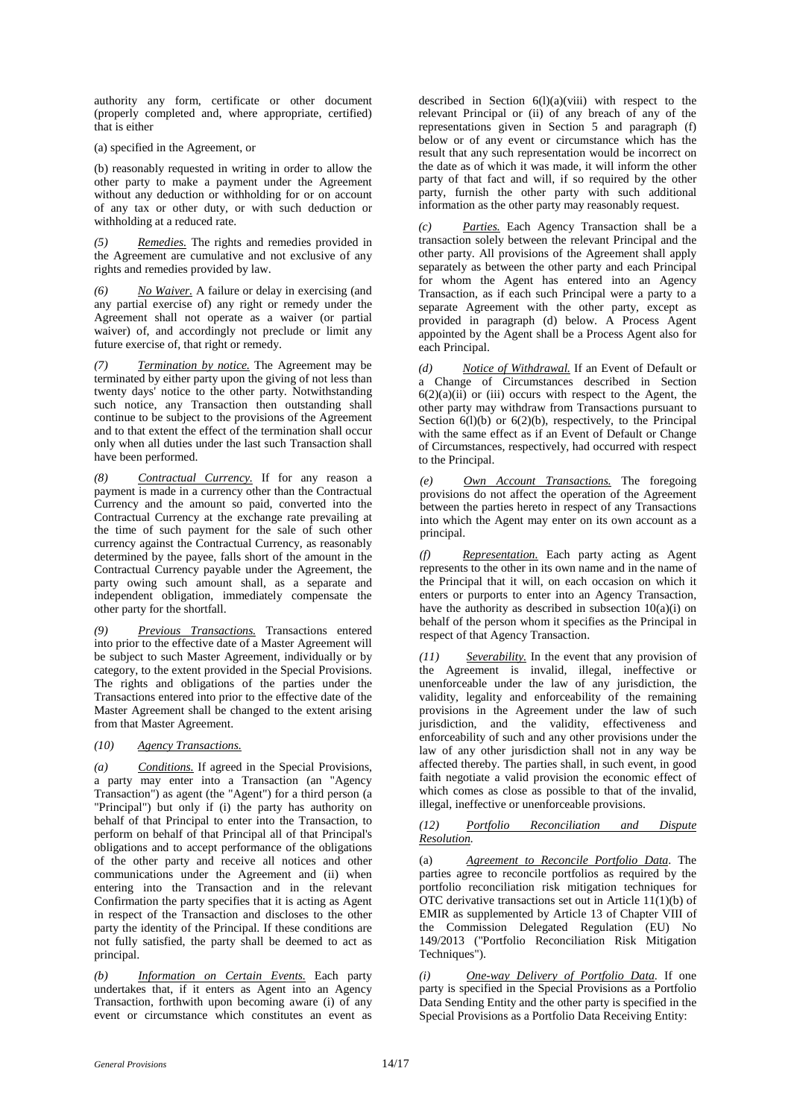authority any form, certificate or other document (properly completed and, where appropriate, certified) that is either

(a) specified in the Agreement, or

(b) reasonably requested in writing in order to allow the other party to make a payment under the Agreement without any deduction or withholding for or on account of any tax or other duty, or with such deduction or withholding at a reduced rate.

*(5) Remedies.* The rights and remedies provided in the Agreement are cumulative and not exclusive of any rights and remedies provided by law.

*(6) No Waiver.* A failure or delay in exercising (and any partial exercise of) any right or remedy under the Agreement shall not operate as a waiver (or partial waiver) of, and accordingly not preclude or limit any future exercise of, that right or remedy.

*(7) Termination by notice.* The Agreement may be terminated by either party upon the giving of not less than twenty days' notice to the other party. Notwithstanding such notice, any Transaction then outstanding shall continue to be subject to the provisions of the Agreement and to that extent the effect of the termination shall occur only when all duties under the last such Transaction shall have been performed.

*(8) Contractual Currency.* If for any reason a payment is made in a currency other than the Contractual Currency and the amount so paid, converted into the Contractual Currency at the exchange rate prevailing at the time of such payment for the sale of such other currency against the Contractual Currency, as reasonably determined by the payee, falls short of the amount in the Contractual Currency payable under the Agreement, the party owing such amount shall, as a separate and independent obligation, immediately compensate the other party for the shortfall.

*(9) Previous Transactions.* Transactions entered into prior to the effective date of a Master Agreement will be subject to such Master Agreement, individually or by category, to the extent provided in the Special Provisions. The rights and obligations of the parties under the Transactions entered into prior to the effective date of the Master Agreement shall be changed to the extent arising from that Master Agreement.

# *(10) Agency Transactions.*

*(a) Conditions.* If agreed in the Special Provisions, a party may enter into a Transaction (an "Agency Transaction") as agent (the "Agent") for a third person (a "Principal") but only if (i) the party has authority on behalf of that Principal to enter into the Transaction, to perform on behalf of that Principal all of that Principal's obligations and to accept performance of the obligations of the other party and receive all notices and other communications under the Agreement and (ii) when entering into the Transaction and in the relevant Confirmation the party specifies that it is acting as Agent in respect of the Transaction and discloses to the other party the identity of the Principal. If these conditions are not fully satisfied, the party shall be deemed to act as principal.

*(b) Information on Certain Events.* Each party undertakes that, if it enters as Agent into an Agency Transaction, forthwith upon becoming aware (i) of any event or circumstance which constitutes an event as

described in Section  $6(1)(a)(viii)$  with respect to the relevant Principal or (ii) of any breach of any of the representations given in Section 5 and paragraph (f) below or of any event or circumstance which has the result that any such representation would be incorrect on the date as of which it was made, it will inform the other party of that fact and will, if so required by the other party, furnish the other party with such additional information as the other party may reasonably request.

*(c) Parties.* Each Agency Transaction shall be a transaction solely between the relevant Principal and the other party. All provisions of the Agreement shall apply separately as between the other party and each Principal for whom the Agent has entered into an Agency Transaction, as if each such Principal were a party to a separate Agreement with the other party, except as provided in paragraph (d) below. A Process Agent appointed by the Agent shall be a Process Agent also for each Principal.

*(d) Notice of Withdrawal.* If an Event of Default or a Change of Circumstances described in Section  $6(2)(a)(ii)$  or (iii) occurs with respect to the Agent, the other party may withdraw from Transactions pursuant to Section  $6(1)(b)$  or  $6(2)(b)$ , respectively, to the Principal with the same effect as if an Event of Default or Change of Circumstances, respectively, had occurred with respect to the Principal.

*(e) Own Account Transactions.* The foregoing provisions do not affect the operation of the Agreement between the parties hereto in respect of any Transactions into which the Agent may enter on its own account as a principal.

*(f) Representation.* Each party acting as Agent represents to the other in its own name and in the name of the Principal that it will, on each occasion on which it enters or purports to enter into an Agency Transaction, have the authority as described in subsection 10(a)(i) on behalf of the person whom it specifies as the Principal in respect of that Agency Transaction.

*(11) Severability.* In the event that any provision of the Agreement is invalid, illegal, ineffective or unenforceable under the law of any jurisdiction, the validity, legality and enforceability of the remaining provisions in the Agreement under the law of such jurisdiction, and the validity, effectiveness and enforceability of such and any other provisions under the law of any other jurisdiction shall not in any way be affected thereby. The parties shall, in such event, in good faith negotiate a valid provision the economic effect of which comes as close as possible to that of the invalid, illegal, ineffective or unenforceable provisions.

## *(12) Portfolio Reconciliation and Dispute Resolution.*

(a) *Agreement to Reconcile Portfolio Data*. The parties agree to reconcile portfolios as required by the portfolio reconciliation risk mitigation techniques for OTC derivative transactions set out in Article 11(1)(b) of EMIR as supplemented by Article 13 of Chapter VIII of the Commission Delegated Regulation (EU) No 149/2013 ("Portfolio Reconciliation Risk Mitigation Techniques").

*(i) One-way Delivery of Portfolio Data*. If one party is specified in the Special Provisions as a Portfolio Data Sending Entity and the other party is specified in the Special Provisions as a Portfolio Data Receiving Entity: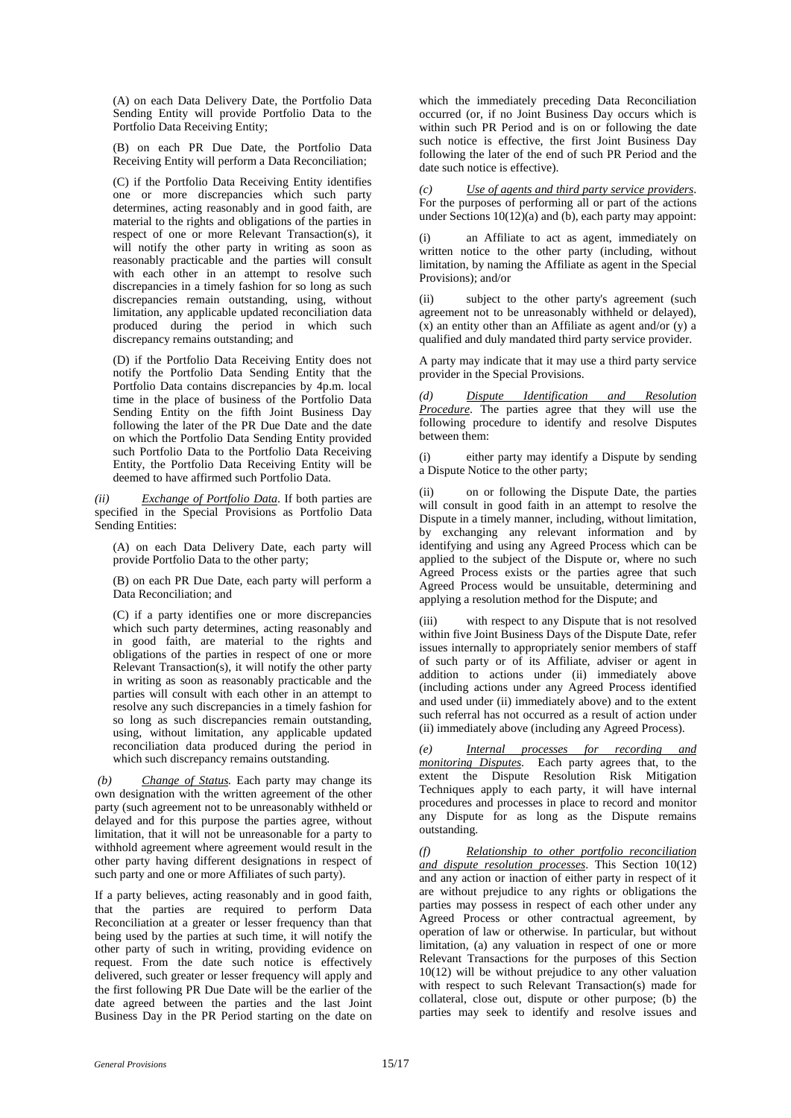(A) on each Data Delivery Date, the Portfolio Data Sending Entity will provide Portfolio Data to the Portfolio Data Receiving Entity;

(B) on each PR Due Date, the Portfolio Data Receiving Entity will perform a Data Reconciliation;

(C) if the Portfolio Data Receiving Entity identifies one or more discrepancies which such party determines, acting reasonably and in good faith, are material to the rights and obligations of the parties in respect of one or more Relevant Transaction(s), it will notify the other party in writing as soon as reasonably practicable and the parties will consult with each other in an attempt to resolve such discrepancies in a timely fashion for so long as such discrepancies remain outstanding, using, without limitation, any applicable updated reconciliation data produced during the period in which such discrepancy remains outstanding; and

(D) if the Portfolio Data Receiving Entity does not notify the Portfolio Data Sending Entity that the Portfolio Data contains discrepancies by 4p.m. local time in the place of business of the Portfolio Data Sending Entity on the fifth Joint Business Day following the later of the PR Due Date and the date on which the Portfolio Data Sending Entity provided such Portfolio Data to the Portfolio Data Receiving Entity, the Portfolio Data Receiving Entity will be deemed to have affirmed such Portfolio Data.

*Exchange of Portfolio Data*. If both parties are specified in the Special Provisions as Portfolio Data Sending Entities:

(A) on each Data Delivery Date, each party will provide Portfolio Data to the other party;

(B) on each PR Due Date, each party will perform a Data Reconciliation; and

(C) if a party identifies one or more discrepancies which such party determines, acting reasonably and in good faith, are material to the rights and obligations of the parties in respect of one or more Relevant Transaction(s), it will notify the other party in writing as soon as reasonably practicable and the parties will consult with each other in an attempt to resolve any such discrepancies in a timely fashion for so long as such discrepancies remain outstanding, using, without limitation, any applicable updated reconciliation data produced during the period in which such discrepancy remains outstanding.

*(b) Change of Status.* Each party may change its own designation with the written agreement of the other party (such agreement not to be unreasonably withheld or delayed and for this purpose the parties agree, without limitation, that it will not be unreasonable for a party to withhold agreement where agreement would result in the other party having different designations in respect of such party and one or more Affiliates of such party).

If a party believes, acting reasonably and in good faith, that the parties are required to perform Data Reconciliation at a greater or lesser frequency than that being used by the parties at such time, it will notify the other party of such in writing, providing evidence on request. From the date such notice is effectively delivered, such greater or lesser frequency will apply and the first following PR Due Date will be the earlier of the date agreed between the parties and the last Joint Business Day in the PR Period starting on the date on which the immediately preceding Data Reconciliation occurred (or, if no Joint Business Day occurs which is within such PR Period and is on or following the date such notice is effective, the first Joint Business Day following the later of the end of such PR Period and the date such notice is effective).

*Use of agents and third party service providers.* For the purposes of performing all or part of the actions under Sections 10(12)(a) and (b), each party may appoint:

an Affiliate to act as agent, immediately on written notice to the other party (including, without limitation, by naming the Affiliate as agent in the Special Provisions); and/or

(ii) subject to the other party's agreement (such agreement not to be unreasonably withheld or delayed), (x) an entity other than an Affiliate as agent and/or (y) a qualified and duly mandated third party service provider.

A party may indicate that it may use a third party service provider in the Special Provisions.

*(d) Dispute Identification and Resolution*  **Procedure**. The parties agree that they will use the following procedure to identify and resolve Disputes between them:

(i) either party may identify a Dispute by sending a Dispute Notice to the other party;

(ii) on or following the Dispute Date, the parties will consult in good faith in an attempt to resolve the Dispute in a timely manner, including, without limitation, by exchanging any relevant information and by identifying and using any Agreed Process which can be applied to the subject of the Dispute or, where no such Agreed Process exists or the parties agree that such Agreed Process would be unsuitable, determining and applying a resolution method for the Dispute; and

(iii) with respect to any Dispute that is not resolved within five Joint Business Days of the Dispute Date, refer issues internally to appropriately senior members of staff of such party or of its Affiliate, adviser or agent in addition to actions under (ii) immediately above (including actions under any Agreed Process identified and used under (ii) immediately above) and to the extent such referral has not occurred as a result of action under (ii) immediately above (including any Agreed Process).

*(e) Internal processes for recording and monitoring Disputes*. Each party agrees that, to the extent the Dispute Resolution Risk Mitigation Techniques apply to each party, it will have internal procedures and processes in place to record and monitor any Dispute for as long as the Dispute remains outstanding.

*(f) Relationship to other portfolio reconciliation and dispute resolution processes*. This Section 10(12) and any action or inaction of either party in respect of it are without prejudice to any rights or obligations the parties may possess in respect of each other under any Agreed Process or other contractual agreement, by operation of law or otherwise. In particular, but without limitation, (a) any valuation in respect of one or more Relevant Transactions for the purposes of this Section 10(12) will be without prejudice to any other valuation with respect to such Relevant Transaction(s) made for collateral, close out, dispute or other purpose; (b) the parties may seek to identify and resolve issues and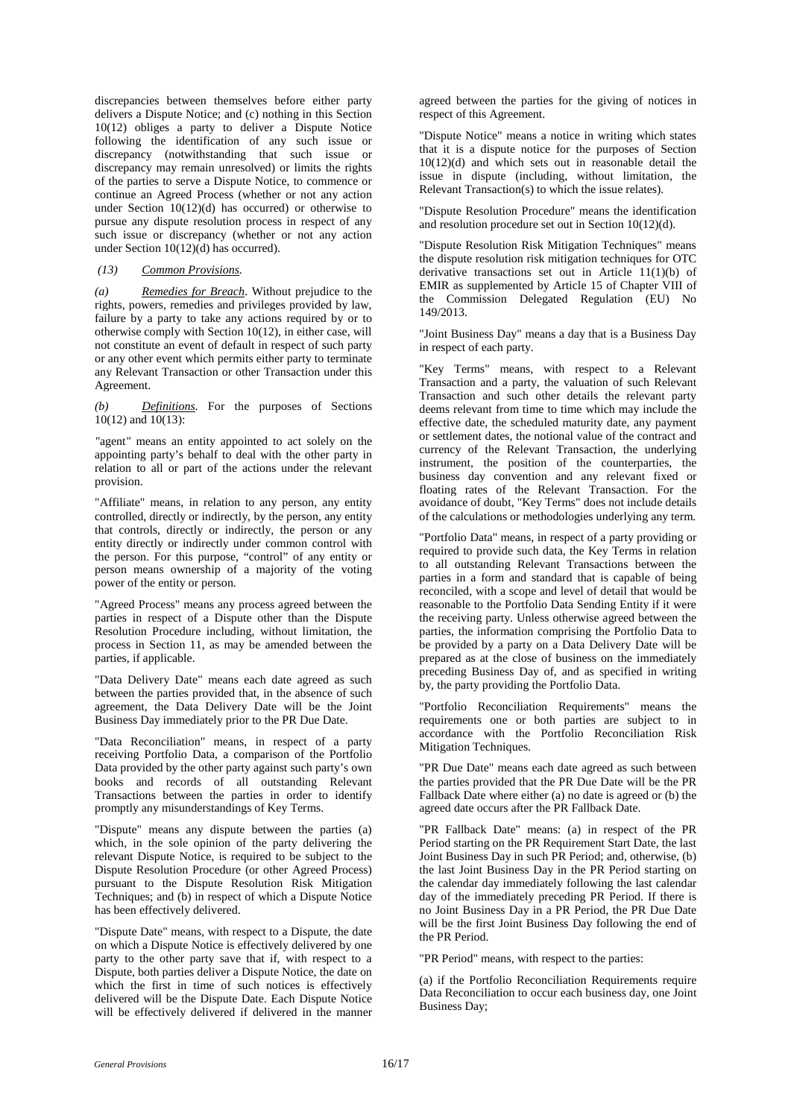discrepancies between themselves before either party delivers a Dispute Notice; and (c) nothing in this Section 10(12) obliges a party to deliver a Dispute Notice following the identification of any such issue or discrepancy (notwithstanding that such issue or discrepancy may remain unresolved) or limits the rights of the parties to serve a Dispute Notice, to commence or continue an Agreed Process (whether or not any action under Section 10(12)(d) has occurred) or otherwise to pursue any dispute resolution process in respect of any such issue or discrepancy (whether or not any action under Section 10(12)(d) has occurred).

#### *(13) Common Provisions*.

*(a) Remedies for Breach*. Without prejudice to the rights, powers, remedies and privileges provided by law, failure by a party to take any actions required by or to otherwise comply with Section 10(12), in either case, will not constitute an event of default in respect of such party or any other event which permits either party to terminate any Relevant Transaction or other Transaction under this Agreement.

*(b) Definitions*. For the purposes of Sections 10(12) and 10(13):

*"*agent*"* means an entity appointed to act solely on the appointing party's behalf to deal with the other party in relation to all or part of the actions under the relevant provision.

"Affiliate" means, in relation to any person, any entity controlled, directly or indirectly, by the person, any entity that controls, directly or indirectly, the person or any entity directly or indirectly under common control with the person. For this purpose, "control" of any entity or person means ownership of a majority of the voting power of the entity or person.

"Agreed Process" means any process agreed between the parties in respect of a Dispute other than the Dispute Resolution Procedure including, without limitation, the process in Section 11, as may be amended between the parties, if applicable.

"Data Delivery Date" means each date agreed as such between the parties provided that, in the absence of such agreement, the Data Delivery Date will be the Joint Business Day immediately prior to the PR Due Date.

"Data Reconciliation" means, in respect of a party receiving Portfolio Data, a comparison of the Portfolio Data provided by the other party against such party's own books and records of all outstanding Relevant Transactions between the parties in order to identify promptly any misunderstandings of Key Terms.

"Dispute" means any dispute between the parties (a) which, in the sole opinion of the party delivering the relevant Dispute Notice, is required to be subject to the Dispute Resolution Procedure (or other Agreed Process) pursuant to the Dispute Resolution Risk Mitigation Techniques; and (b) in respect of which a Dispute Notice has been effectively delivered.

"Dispute Date" means, with respect to a Dispute, the date on which a Dispute Notice is effectively delivered by one party to the other party save that if, with respect to a Dispute, both parties deliver a Dispute Notice, the date on which the first in time of such notices is effectively delivered will be the Dispute Date. Each Dispute Notice will be effectively delivered if delivered in the manner agreed between the parties for the giving of notices in respect of this Agreement.

"Dispute Notice" means a notice in writing which states that it is a dispute notice for the purposes of Section 10(12)(d) and which sets out in reasonable detail the issue in dispute (including, without limitation, the Relevant Transaction(s) to which the issue relates).

"Dispute Resolution Procedure" means the identification and resolution procedure set out in Section 10(12)(d).

"Dispute Resolution Risk Mitigation Techniques" means the dispute resolution risk mitigation techniques for OTC derivative transactions set out in Article 11(1)(b) of EMIR as supplemented by Article 15 of Chapter VIII of the Commission Delegated Regulation (EU) No 149/2013.

"Joint Business Day" means a day that is a Business Day in respect of each party.

"Key Terms" means, with respect to a Relevant Transaction and a party, the valuation of such Relevant Transaction and such other details the relevant party deems relevant from time to time which may include the effective date, the scheduled maturity date, any payment or settlement dates, the notional value of the contract and currency of the Relevant Transaction, the underlying instrument, the position of the counterparties, the business day convention and any relevant fixed or floating rates of the Relevant Transaction. For the avoidance of doubt, "Key Terms" does not include details of the calculations or methodologies underlying any term.

"Portfolio Data" means, in respect of a party providing or required to provide such data, the Key Terms in relation to all outstanding Relevant Transactions between the parties in a form and standard that is capable of being reconciled, with a scope and level of detail that would be reasonable to the Portfolio Data Sending Entity if it were the receiving party. Unless otherwise agreed between the parties, the information comprising the Portfolio Data to be provided by a party on a Data Delivery Date will be prepared as at the close of business on the immediately preceding Business Day of, and as specified in writing by, the party providing the Portfolio Data.

"Portfolio Reconciliation Requirements" means the requirements one or both parties are subject to in accordance with the Portfolio Reconciliation Risk Mitigation Techniques.

"PR Due Date" means each date agreed as such between the parties provided that the PR Due Date will be the PR Fallback Date where either (a) no date is agreed or (b) the agreed date occurs after the PR Fallback Date.

"PR Fallback Date" means: (a) in respect of the PR Period starting on the PR Requirement Start Date, the last Joint Business Day in such PR Period; and, otherwise, (b) the last Joint Business Day in the PR Period starting on the calendar day immediately following the last calendar day of the immediately preceding PR Period. If there is no Joint Business Day in a PR Period, the PR Due Date will be the first Joint Business Day following the end of the PR Period.

"PR Period" means, with respect to the parties:

(a) if the Portfolio Reconciliation Requirements require Data Reconciliation to occur each business day, one Joint Business Day;